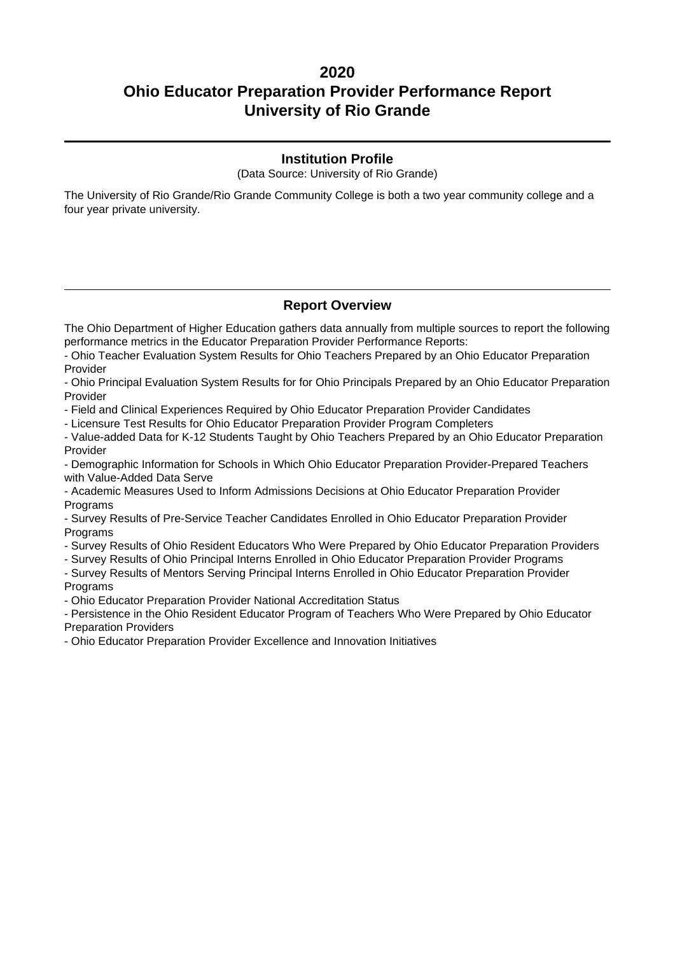### **Institution Profile**

(Data Source: University of Rio Grande)

The University of Rio Grande/Rio Grande Community College is both a two year community college and a four year private university.

### **Report Overview**

The Ohio Department of Higher Education gathers data annually from multiple sources to report the following performance metrics in the Educator Preparation Provider Performance Reports:

- Ohio Teacher Evaluation System Results for Ohio Teachers Prepared by an Ohio Educator Preparation Provider

- Ohio Principal Evaluation System Results for for Ohio Principals Prepared by an Ohio Educator Preparation Provider

- Field and Clinical Experiences Required by Ohio Educator Preparation Provider Candidates

- Licensure Test Results for Ohio Educator Preparation Provider Program Completers

- Value-added Data for K-12 Students Taught by Ohio Teachers Prepared by an Ohio Educator Preparation Provider

- Demographic Information for Schools in Which Ohio Educator Preparation Provider-Prepared Teachers with Value-Added Data Serve

- Academic Measures Used to Inform Admissions Decisions at Ohio Educator Preparation Provider **Programs** 

- Survey Results of Pre-Service Teacher Candidates Enrolled in Ohio Educator Preparation Provider Programs

- Survey Results of Ohio Resident Educators Who Were Prepared by Ohio Educator Preparation Providers

- Survey Results of Ohio Principal Interns Enrolled in Ohio Educator Preparation Provider Programs

- Survey Results of Mentors Serving Principal Interns Enrolled in Ohio Educator Preparation Provider Programs

- Ohio Educator Preparation Provider National Accreditation Status

- Persistence in the Ohio Resident Educator Program of Teachers Who Were Prepared by Ohio Educator Preparation Providers

- Ohio Educator Preparation Provider Excellence and Innovation Initiatives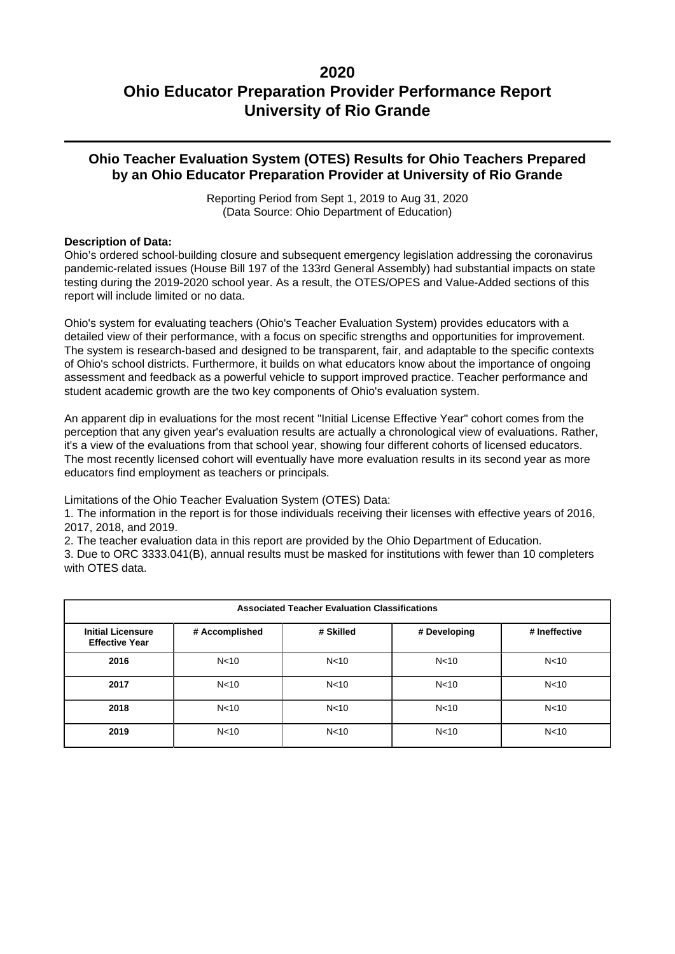### **Ohio Teacher Evaluation System (OTES) Results for Ohio Teachers Prepared by an Ohio Educator Preparation Provider at University of Rio Grande**

Reporting Period from Sept 1, 2019 to Aug 31, 2020 (Data Source: Ohio Department of Education)

### **Description of Data:**

Ohio's ordered school-building closure and subsequent emergency legislation addressing the coronavirus pandemic-related issues (House Bill 197 of the 133rd General Assembly) had substantial impacts on state testing during the 2019-2020 school year. As a result, the OTES/OPES and Value-Added sections of this report will include limited or no data.

Ohio's system for evaluating teachers (Ohio's Teacher Evaluation System) provides educators with a detailed view of their performance, with a focus on specific strengths and opportunities for improvement. The system is research-based and designed to be transparent, fair, and adaptable to the specific contexts of Ohio's school districts. Furthermore, it builds on what educators know about the importance of ongoing assessment and feedback as a powerful vehicle to support improved practice. Teacher performance and student academic growth are the two key components of Ohio's evaluation system.

An apparent dip in evaluations for the most recent "Initial License Effective Year" cohort comes from the perception that any given year's evaluation results are actually a chronological view of evaluations. Rather, it's a view of the evaluations from that school year, showing four different cohorts of licensed educators. The most recently licensed cohort will eventually have more evaluation results in its second year as more educators find employment as teachers or principals.

Limitations of the Ohio Teacher Evaluation System (OTES) Data:

1. The information in the report is for those individuals receiving their licenses with effective years of 2016, 2017, 2018, and 2019.

2. The teacher evaluation data in this report are provided by the Ohio Department of Education.

3. Due to ORC 3333.041(B), annual results must be masked for institutions with fewer than 10 completers with OTES data.

| <b>Associated Teacher Evaluation Classifications</b> |                 |                 |                 |                 |  |  |  |
|------------------------------------------------------|-----------------|-----------------|-----------------|-----------------|--|--|--|
| <b>Initial Licensure</b><br><b>Effective Year</b>    | # Accomplished  | # Skilled       | # Developing    | # Ineffective   |  |  |  |
| 2016                                                 | N <sub>10</sub> | N <sub>10</sub> | N <sub>10</sub> | N <sub>10</sub> |  |  |  |
| 2017                                                 | N <sub>10</sub> | N <sub>10</sub> | N <sub>10</sub> | N <sub>10</sub> |  |  |  |
| 2018                                                 | N <sub>10</sub> | N <sub>10</sub> | N <sub>10</sub> | N <sub>10</sub> |  |  |  |
| 2019                                                 | N <sub>10</sub> | N <sub>10</sub> | N <sub>10</sub> | N <sub>10</sub> |  |  |  |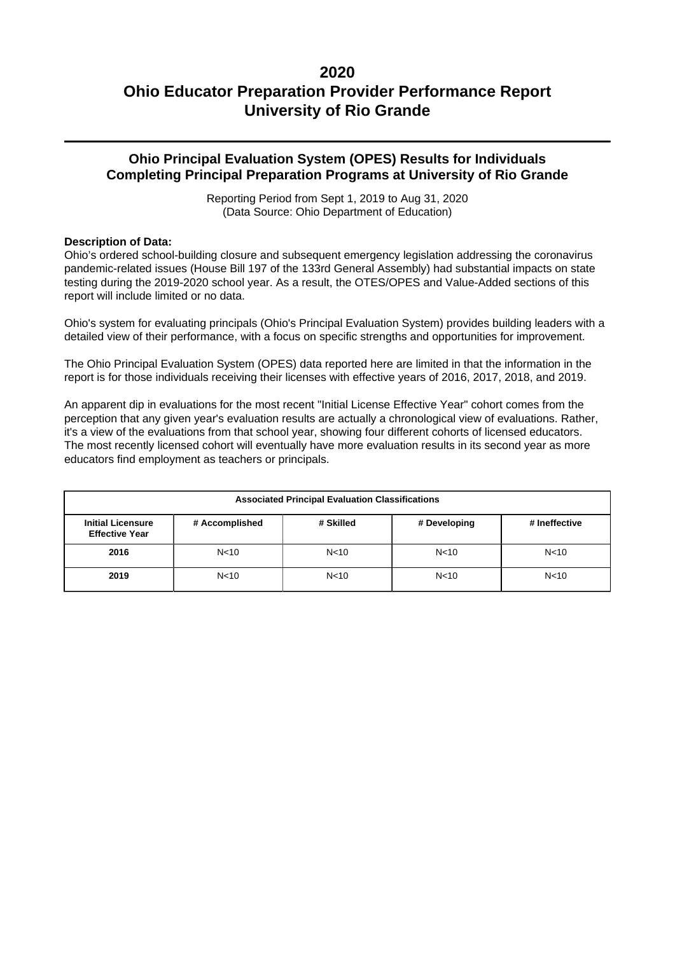### **Ohio Principal Evaluation System (OPES) Results for Individuals Completing Principal Preparation Programs at University of Rio Grande**

Reporting Period from Sept 1, 2019 to Aug 31, 2020 (Data Source: Ohio Department of Education)

### **Description of Data:**

Ohio's ordered school-building closure and subsequent emergency legislation addressing the coronavirus pandemic-related issues (House Bill 197 of the 133rd General Assembly) had substantial impacts on state testing during the 2019-2020 school year. As a result, the OTES/OPES and Value-Added sections of this report will include limited or no data.

Ohio's system for evaluating principals (Ohio's Principal Evaluation System) provides building leaders with a detailed view of their performance, with a focus on specific strengths and opportunities for improvement.

The Ohio Principal Evaluation System (OPES) data reported here are limited in that the information in the report is for those individuals receiving their licenses with effective years of 2016, 2017, 2018, and 2019.

An apparent dip in evaluations for the most recent "Initial License Effective Year" cohort comes from the perception that any given year's evaluation results are actually a chronological view of evaluations. Rather, it's a view of the evaluations from that school year, showing four different cohorts of licensed educators. The most recently licensed cohort will eventually have more evaluation results in its second year as more educators find employment as teachers or principals.

| <b>Associated Principal Evaluation Classifications</b>                                                            |                 |                 |                 |                 |  |  |
|-------------------------------------------------------------------------------------------------------------------|-----------------|-----------------|-----------------|-----------------|--|--|
| <b>Initial Licensure</b><br># Skilled<br># Accomplished<br># Developing<br># Ineffective<br><b>Effective Year</b> |                 |                 |                 |                 |  |  |
| 2016                                                                                                              | N <sub>10</sub> | N <sub>10</sub> | N <sub>10</sub> | N <sub>10</sub> |  |  |
| 2019                                                                                                              | N <sub>10</sub> | N <sub>10</sub> | N <sub>10</sub> | N <sub>10</sub> |  |  |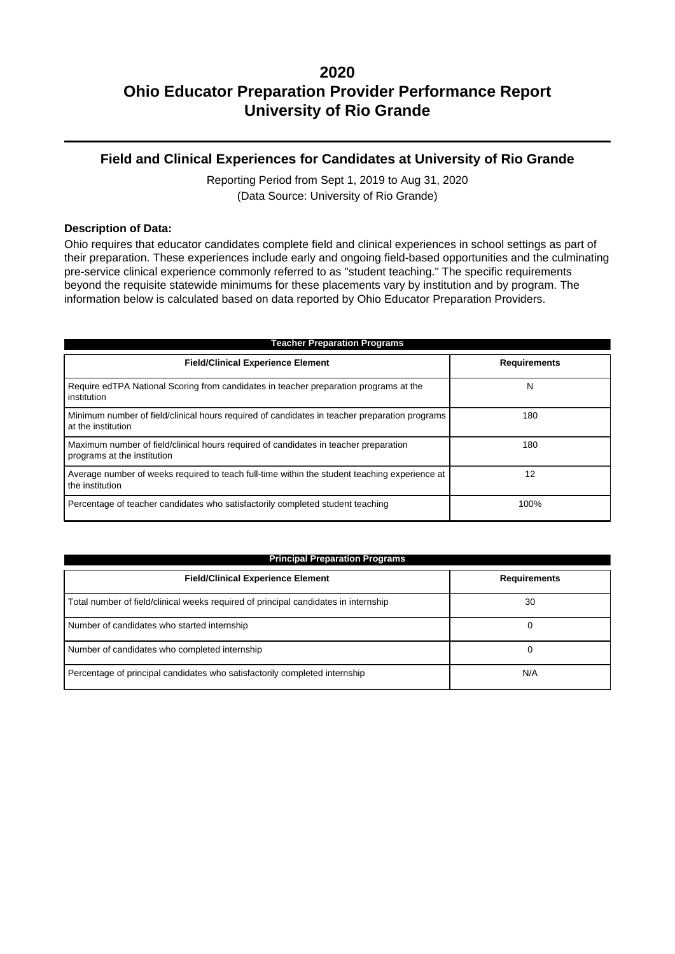### **Field and Clinical Experiences for Candidates at University of Rio Grande**

Reporting Period from Sept 1, 2019 to Aug 31, 2020 (Data Source: University of Rio Grande)

#### **Description of Data:**

Ohio requires that educator candidates complete field and clinical experiences in school settings as part of their preparation. These experiences include early and ongoing field-based opportunities and the culminating pre-service clinical experience commonly referred to as "student teaching." The specific requirements beyond the requisite statewide minimums for these placements vary by institution and by program. The information below is calculated based on data reported by Ohio Educator Preparation Providers.

| <b>Teacher Preparation Programs</b>                                                                                 |                     |  |  |  |  |
|---------------------------------------------------------------------------------------------------------------------|---------------------|--|--|--|--|
| <b>Field/Clinical Experience Element</b>                                                                            | <b>Requirements</b> |  |  |  |  |
| Require edTPA National Scoring from candidates in teacher preparation programs at the<br>institution                | N                   |  |  |  |  |
| Minimum number of field/clinical hours required of candidates in teacher preparation programs<br>at the institution | 180                 |  |  |  |  |
| Maximum number of field/clinical hours required of candidates in teacher preparation<br>programs at the institution | 180                 |  |  |  |  |
| Average number of weeks required to teach full-time within the student teaching experience at<br>the institution    | 12                  |  |  |  |  |
| Percentage of teacher candidates who satisfactorily completed student teaching                                      | 100%                |  |  |  |  |

| <b>Principal Preparation Programs</b>                                               |                     |  |  |  |
|-------------------------------------------------------------------------------------|---------------------|--|--|--|
| <b>Field/Clinical Experience Element</b>                                            | <b>Requirements</b> |  |  |  |
| Total number of field/clinical weeks required of principal candidates in internship | 30                  |  |  |  |
| Number of candidates who started internship                                         | 0                   |  |  |  |
| Number of candidates who completed internship                                       | 0                   |  |  |  |
| Percentage of principal candidates who satisfactorily completed internship          | N/A                 |  |  |  |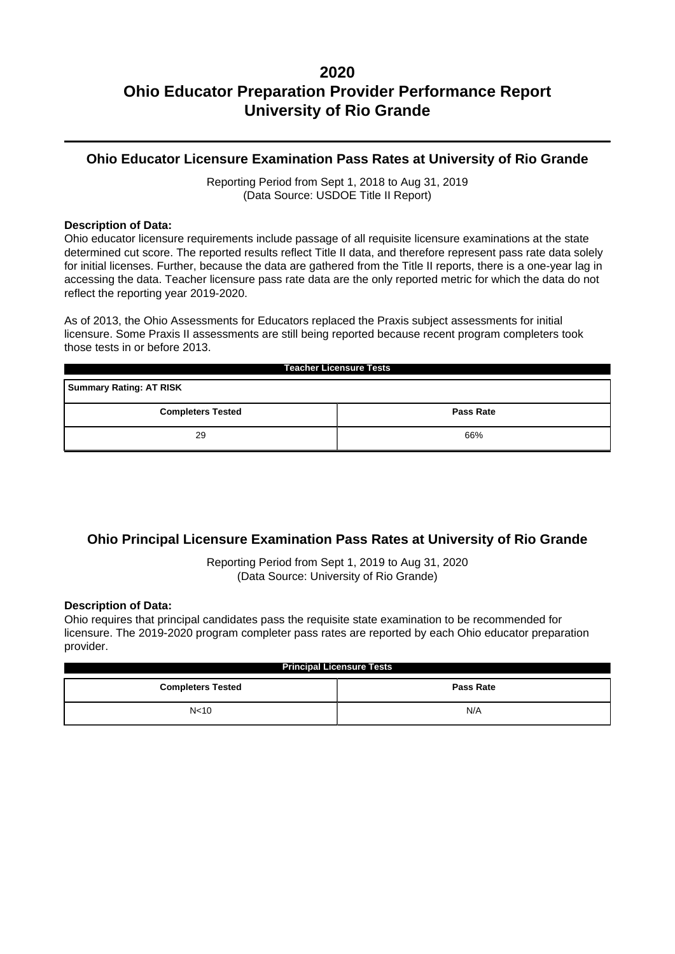### **Ohio Educator Licensure Examination Pass Rates at University of Rio Grande**

Reporting Period from Sept 1, 2018 to Aug 31, 2019 (Data Source: USDOE Title II Report)

#### **Description of Data:**

Ohio educator licensure requirements include passage of all requisite licensure examinations at the state determined cut score. The reported results reflect Title II data, and therefore represent pass rate data solely for initial licenses. Further, because the data are gathered from the Title II reports, there is a one-year lag in accessing the data. Teacher licensure pass rate data are the only reported metric for which the data do not reflect the reporting year 2019-2020.

As of 2013, the Ohio Assessments for Educators replaced the Praxis subject assessments for initial licensure. Some Praxis II assessments are still being reported because recent program completers took those tests in or before 2013.

| <b>Teacher Licensure Tests</b>               |     |  |  |  |  |
|----------------------------------------------|-----|--|--|--|--|
| <b>Summary Rating: AT RISK</b>               |     |  |  |  |  |
| <b>Completers Tested</b><br><b>Pass Rate</b> |     |  |  |  |  |
| 29                                           | 66% |  |  |  |  |

### **Ohio Principal Licensure Examination Pass Rates at University of Rio Grande**

Reporting Period from Sept 1, 2019 to Aug 31, 2020 (Data Source: University of Rio Grande)

#### **Description of Data:**

Ohio requires that principal candidates pass the requisite state examination to be recommended for licensure. The 2019-2020 program completer pass rates are reported by each Ohio educator preparation provider.

| <b>Principal Licensure Tests</b>             |     |  |  |  |
|----------------------------------------------|-----|--|--|--|
| <b>Pass Rate</b><br><b>Completers Tested</b> |     |  |  |  |
| N <sub>10</sub>                              | N/A |  |  |  |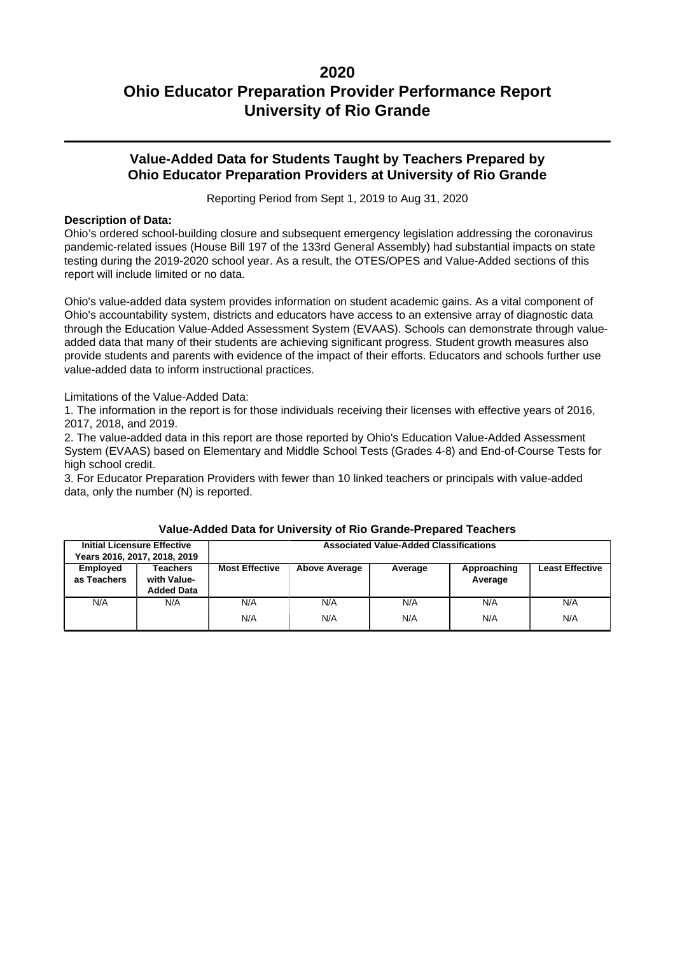### **Value-Added Data for Students Taught by Teachers Prepared by Ohio Educator Preparation Providers at University of Rio Grande**

Reporting Period from Sept 1, 2019 to Aug 31, 2020

### **Description of Data:**

Ohio's ordered school-building closure and subsequent emergency legislation addressing the coronavirus pandemic-related issues (House Bill 197 of the 133rd General Assembly) had substantial impacts on state testing during the 2019-2020 school year. As a result, the OTES/OPES and Value-Added sections of this report will include limited or no data.

Ohio's value-added data system provides information on student academic gains. As a vital component of Ohio's accountability system, districts and educators have access to an extensive array of diagnostic data through the Education Value-Added Assessment System (EVAAS). Schools can demonstrate through valueadded data that many of their students are achieving significant progress. Student growth measures also provide students and parents with evidence of the impact of their efforts. Educators and schools further use value-added data to inform instructional practices.

Limitations of the Value-Added Data:

1. The information in the report is for those individuals receiving their licenses with effective years of 2016, 2017, 2018, and 2019.

2. The value-added data in this report are those reported by Ohio's Education Value-Added Assessment System (EVAAS) based on Elementary and Middle School Tests (Grades 4-8) and End-of-Course Tests for high school credit.

3. For Educator Preparation Providers with fewer than 10 linked teachers or principals with value-added data, only the number (N) is reported.

|                         | <b>Initial Licensure Effective</b>           |                       |                      | <b>Associated Value-Added Classifications</b> |                        |                        |
|-------------------------|----------------------------------------------|-----------------------|----------------------|-----------------------------------------------|------------------------|------------------------|
|                         | Years 2016, 2017, 2018, 2019                 |                       |                      |                                               |                        |                        |
| Employed<br>as Teachers | Teachers<br>with Value-<br><b>Added Data</b> | <b>Most Effective</b> | <b>Above Average</b> | Average                                       | Approaching<br>Average | <b>Least Effective</b> |
| N/A                     | N/A                                          | N/A                   | N/A                  | N/A                                           | N/A                    | N/A                    |
|                         |                                              | N/A                   | N/A                  | N/A                                           | N/A                    | N/A                    |

#### **Value-Added Data for University of Rio Grande-Prepared Teachers**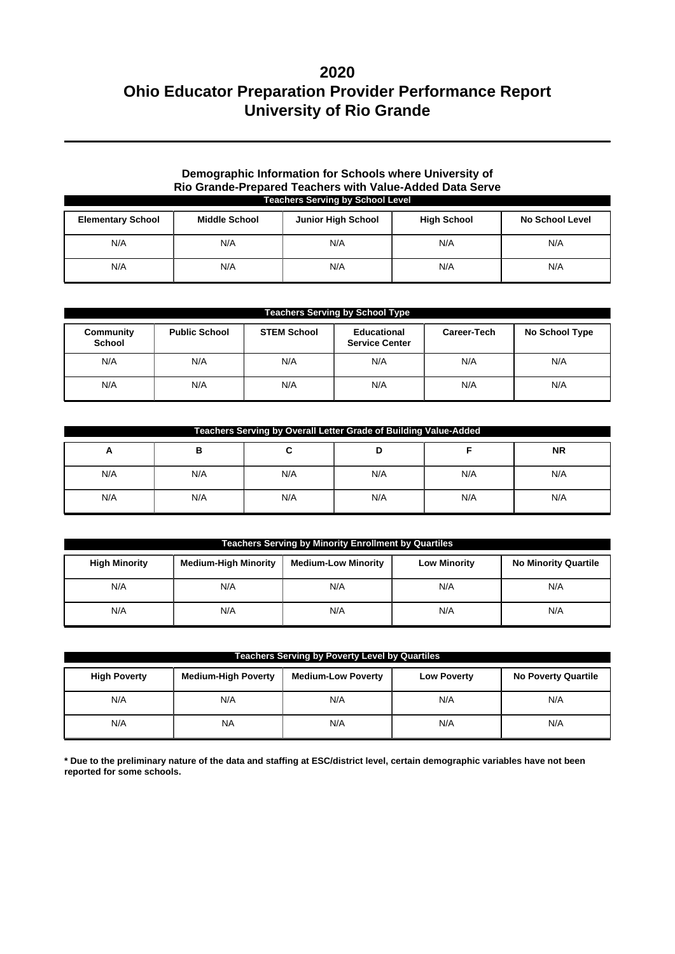### **Demographic Information for Schools where University of Rio Grande-Prepared Teachers with Value-Added Data Serve Teachers Serving by School Level**

| <b>Elementary School</b> | <b>Middle School</b> | <b>Junior High School</b> | <b>High School</b> | <b>No School Level</b> |
|--------------------------|----------------------|---------------------------|--------------------|------------------------|
| N/A                      | N/A                  | N/A                       | N/A                | N/A                    |
| N/A                      | N/A                  | N/A                       | N/A                | N/A                    |

| <b>Teachers Serving by School Type</b> |                      |                    |                                      |             |                |  |
|----------------------------------------|----------------------|--------------------|--------------------------------------|-------------|----------------|--|
| Community<br><b>School</b>             | <b>Public School</b> | <b>STEM School</b> | Educational<br><b>Service Center</b> | Career-Tech | No School Type |  |
| N/A                                    | N/A                  | N/A                | N/A                                  | N/A         | N/A            |  |
| N/A                                    | N/A                  | N/A                | N/A                                  | N/A         | N/A            |  |

| Teachers Serving by Overall Letter Grade of Building Value-Added |     |     |     |     |           |  |
|------------------------------------------------------------------|-----|-----|-----|-----|-----------|--|
| A                                                                | в   |     |     |     | <b>NR</b> |  |
| N/A                                                              | N/A | N/A | N/A | N/A | N/A       |  |
| N/A                                                              | N/A | N/A | N/A | N/A | N/A       |  |

| <b>Teachers Serving by Minority Enrollment by Quartiles</b> |                             |                            |                     |                             |  |  |
|-------------------------------------------------------------|-----------------------------|----------------------------|---------------------|-----------------------------|--|--|
| <b>High Minority</b>                                        | <b>Medium-High Minority</b> | <b>Medium-Low Minority</b> | <b>Low Minority</b> | <b>No Minority Quartile</b> |  |  |
| N/A                                                         | N/A                         | N/A                        | N/A                 | N/A                         |  |  |
| N/A                                                         | N/A                         | N/A                        | N/A                 | N/A                         |  |  |

| <b>Teachers Serving by Poverty Level by Quartiles</b> |                            |                           |                    |                            |  |  |
|-------------------------------------------------------|----------------------------|---------------------------|--------------------|----------------------------|--|--|
| <b>High Poverty</b>                                   | <b>Medium-High Poverty</b> | <b>Medium-Low Poverty</b> | <b>Low Poverty</b> | <b>No Poverty Quartile</b> |  |  |
| N/A                                                   | N/A                        | N/A                       | N/A                | N/A                        |  |  |
| N/A                                                   | <b>NA</b>                  | N/A                       | N/A                | N/A                        |  |  |

**\* Due to the preliminary nature of the data and staffing at ESC/district level, certain demographic variables have not been reported for some schools.**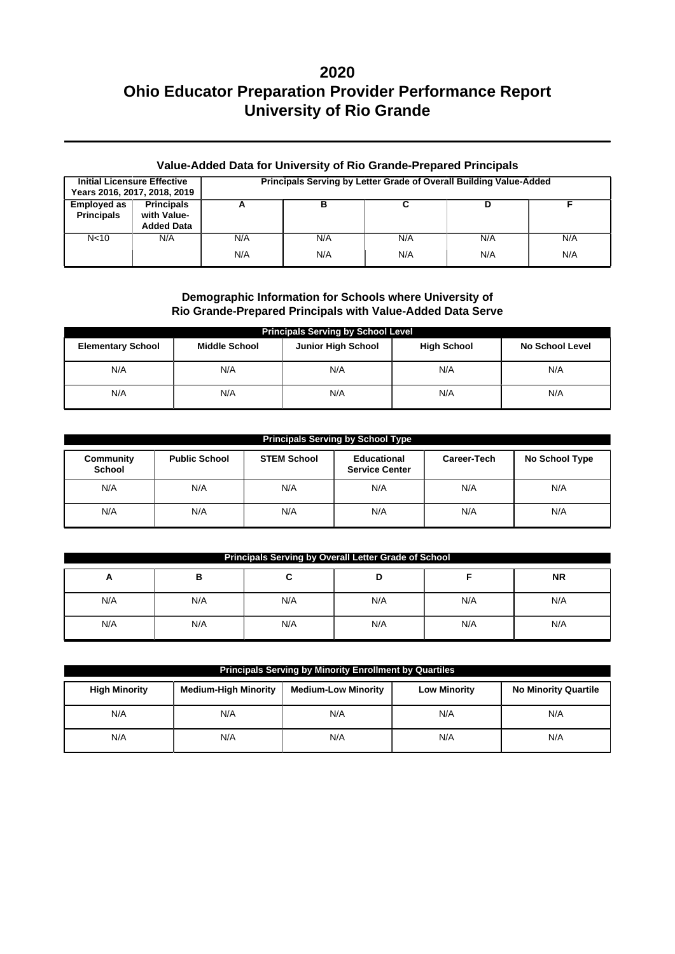### **Value-Added Data for University of Rio Grande-Prepared Principals**

|                                         | <b>Initial Licensure Effective</b><br>Years 2016, 2017, 2018, 2019 |            |            | Principals Serving by Letter Grade of Overall Building Value-Added |            |            |
|-----------------------------------------|--------------------------------------------------------------------|------------|------------|--------------------------------------------------------------------|------------|------------|
| <b>Employed as</b><br><b>Principals</b> | <b>Principals</b><br>with Value-<br><b>Added Data</b>              |            |            |                                                                    |            |            |
| N <sub>10</sub>                         | N/A                                                                | N/A<br>N/A | N/A<br>N/A | N/A<br>N/A                                                         | N/A<br>N/A | N/A<br>N/A |

### **Demographic Information for Schools where University of Rio Grande-Prepared Principals with Value-Added Data Serve**

| <b>Principals Serving by School Level</b> |                      |                           |                    |                        |  |  |  |  |
|-------------------------------------------|----------------------|---------------------------|--------------------|------------------------|--|--|--|--|
| <b>Elementary School</b>                  | <b>Middle School</b> | <b>Junior High School</b> | <b>High School</b> | <b>No School Level</b> |  |  |  |  |
| N/A                                       | N/A                  | N/A                       | N/A                | N/A                    |  |  |  |  |
| N/A                                       | N/A                  | N/A                       | N/A                | N/A                    |  |  |  |  |

| <b>Principals Serving by School Type</b> |                      |                    |                                      |             |                |  |  |  |
|------------------------------------------|----------------------|--------------------|--------------------------------------|-------------|----------------|--|--|--|
| Community<br><b>School</b>               | <b>Public School</b> | <b>STEM School</b> | Educational<br><b>Service Center</b> | Career-Tech | No School Type |  |  |  |
| N/A                                      | N/A                  | N/A                | N/A                                  | N/A         | N/A            |  |  |  |
| N/A                                      | N/A                  | N/A                | N/A                                  | N/A         | N/A            |  |  |  |

| Principals Serving by Overall Letter Grade of School |     |     |     |     |     |  |  |  |
|------------------------------------------------------|-----|-----|-----|-----|-----|--|--|--|
| <b>NR</b><br>в<br>D<br>A<br>∼                        |     |     |     |     |     |  |  |  |
| N/A                                                  | N/A | N/A | N/A | N/A | N/A |  |  |  |
| N/A                                                  | N/A | N/A | N/A | N/A | N/A |  |  |  |

| <b>Principals Serving by Minority Enrollment by Quartiles</b> |                             |                            |                     |                             |  |  |  |
|---------------------------------------------------------------|-----------------------------|----------------------------|---------------------|-----------------------------|--|--|--|
| <b>High Minority</b>                                          | <b>Medium-High Minority</b> | <b>Medium-Low Minority</b> | <b>Low Minority</b> | <b>No Minority Quartile</b> |  |  |  |
| N/A                                                           | N/A                         | N/A                        | N/A                 | N/A                         |  |  |  |
| N/A                                                           | N/A                         | N/A                        | N/A                 | N/A                         |  |  |  |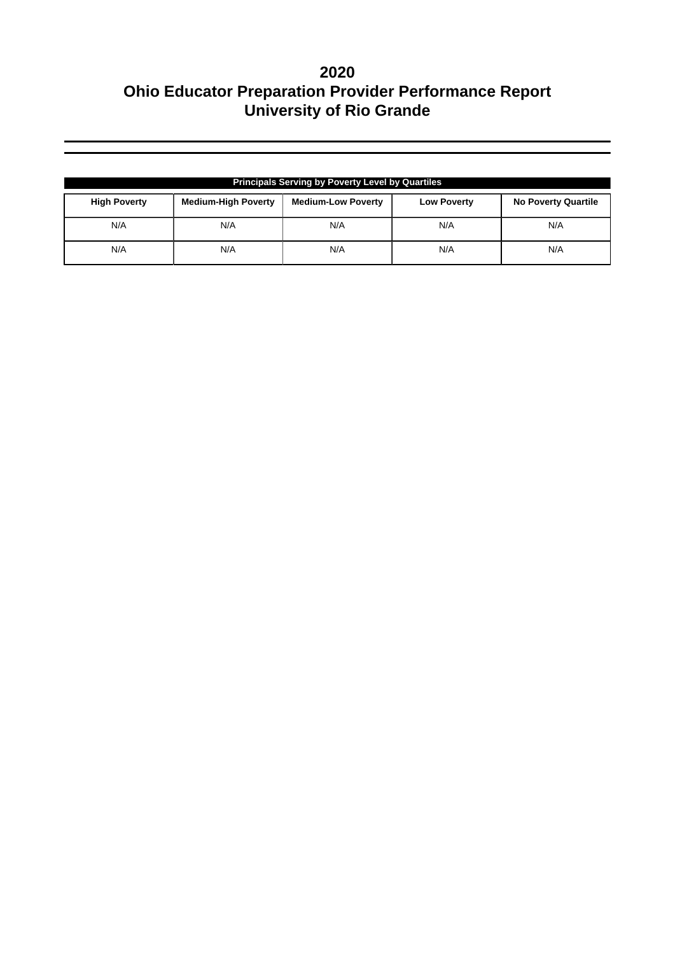| <b>Principals Serving by Poverty Level by Quartiles</b> |                            |                           |                    |                            |  |  |  |
|---------------------------------------------------------|----------------------------|---------------------------|--------------------|----------------------------|--|--|--|
| <b>High Poverty</b>                                     | <b>Medium-High Poverty</b> | <b>Medium-Low Poverty</b> | <b>Low Poverty</b> | <b>No Poverty Quartile</b> |  |  |  |
| N/A                                                     | N/A                        | N/A                       | N/A                | N/A                        |  |  |  |
| N/A                                                     | N/A                        | N/A                       | N/A                | N/A                        |  |  |  |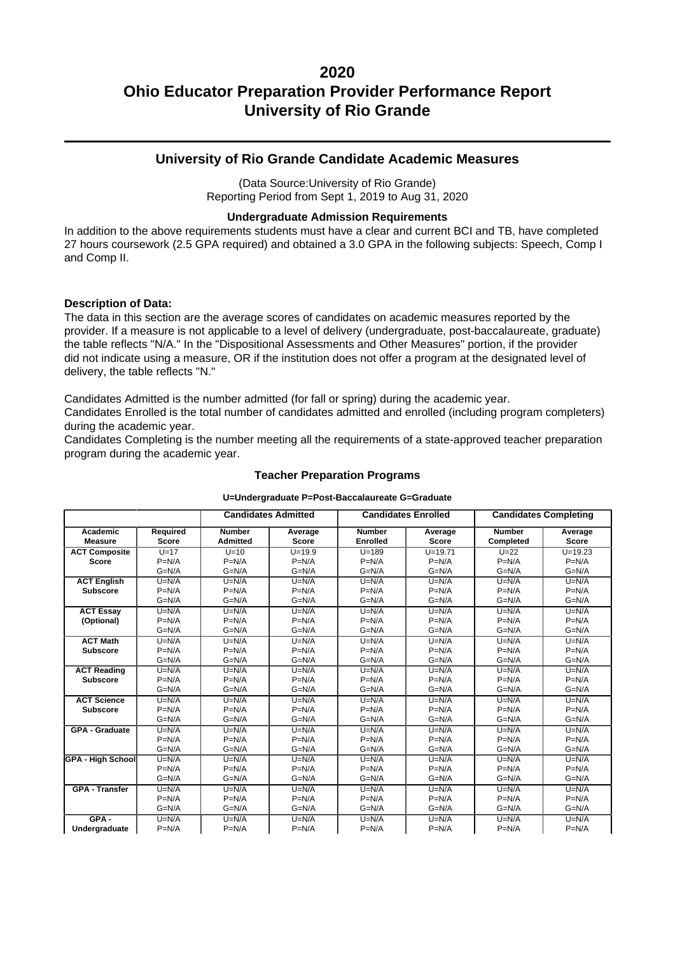### **University of Rio Grande Candidate Academic Measures**

(Data Source:University of Rio Grande) Reporting Period from Sept 1, 2019 to Aug 31, 2020

### **Undergraduate Admission Requirements**

In addition to the above requirements students must have a clear and current BCI and TB, have completed 27 hours coursework (2.5 GPA required) and obtained a 3.0 GPA in the following subjects: Speech, Comp I and Comp II.

#### **Description of Data:**

The data in this section are the average scores of candidates on academic measures reported by the provider. If a measure is not applicable to a level of delivery (undergraduate, post-baccalaureate, graduate) the table reflects "N/A." In the "Dispositional Assessments and Other Measures" portion, if the provider did not indicate using a measure, OR if the institution does not offer a program at the designated level of delivery, the table reflects "N."

Candidates Admitted is the number admitted (for fall or spring) during the academic year.

Candidates Enrolled is the total number of candidates admitted and enrolled (including program completers) during the academic year.

Candidates Completing is the number meeting all the requirements of a state-approved teacher preparation program during the academic year.

|                          |              |                 | <b>Candidates Admitted</b> | <b>Candidates Enrolled</b> |              | <b>Candidates Completing</b> |              |
|--------------------------|--------------|-----------------|----------------------------|----------------------------|--------------|------------------------------|--------------|
|                          |              |                 |                            |                            |              |                              |              |
| Academic                 | Required     | <b>Number</b>   | Average                    | <b>Number</b>              | Average      | <b>Number</b>                | Average      |
| <b>Measure</b>           | <b>Score</b> | <b>Admitted</b> | <b>Score</b>               | <b>Enrolled</b>            | <b>Score</b> | Completed                    | <b>Score</b> |
| <b>ACT Composite</b>     | $U=17$       | $U=10$          | $U = 19.9$                 | $U = 189$                  | $U = 19.71$  | $U=22$                       | $U = 19.23$  |
| <b>Score</b>             | $P=N/A$      | $P=N/A$         | $P=N/A$                    | $P=N/A$                    | $P=N/A$      | $P=N/A$                      | $P=N/A$      |
|                          | $G=N/A$      | $G=N/A$         | $G=N/A$                    | $G=N/A$                    | $G=N/A$      | $G=N/A$                      | $G=N/A$      |
| <b>ACT English</b>       | $U=N/A$      | $U=N/A$         | $U=N/A$                    | $U=N/A$                    | $U=N/A$      | $U=N/A$                      | $U=N/A$      |
| <b>Subscore</b>          | $P=N/A$      | $P=N/A$         | $P=N/A$                    | $P=N/A$                    | $P=N/A$      | $P=N/A$                      | $P=N/A$      |
|                          | $G=N/A$      | $G=N/A$         | $G=N/A$                    | $G=N/A$                    | $G=N/A$      | $G=N/A$                      | $G=N/A$      |
| <b>ACT Essay</b>         | $U=N/A$      | $U=N/A$         | $U=N/A$                    | $U=N/A$                    | $U=N/A$      | $U=N/A$                      | $U=N/A$      |
| (Optional)               | $P=N/A$      | $P=N/A$         | $P=N/A$                    | $P=N/A$                    | $P=N/A$      | $P=N/A$                      | $P=N/A$      |
|                          | $G=N/A$      | $G=N/A$         | $G=N/A$                    | $G=N/A$                    | $G=N/A$      | $G=N/A$                      | $G=N/A$      |
| <b>ACT Math</b>          | $U=N/A$      | $U=N/A$         | $U=N/A$                    | $U=N/A$                    | $U=N/A$      | $U=N/A$                      | $U=N/A$      |
| <b>Subscore</b>          | $P=N/A$      | $P=N/A$         | $P=N/A$                    | $P=N/A$                    | $P=N/A$      | $P=N/A$                      | $P=N/A$      |
|                          | $G=N/A$      | $G=N/A$         | $G=N/A$                    | $G=N/A$                    | $G=N/A$      | $G=N/A$                      | $G=N/A$      |
| <b>ACT Reading</b>       | $U=N/A$      | $U=N/A$         | $U=N/A$                    | $U=N/A$                    | $U=N/A$      | $U=N/A$                      | $U=N/A$      |
| <b>Subscore</b>          | $P=N/A$      | $P=N/A$         | $P=N/A$                    | $P=N/A$                    | $P=N/A$      | $P=N/A$                      | $P=N/A$      |
|                          | $G=N/A$      | $G=N/A$         | $G=N/A$                    | $G=N/A$                    | $G=N/A$      | $G=N/A$                      | $G=N/A$      |
| <b>ACT Science</b>       | $U=N/A$      | $U=N/A$         | $U=N/A$                    | $U=N/A$                    | $U=N/A$      | $U=N/A$                      | $U=N/A$      |
| Subscore                 | $P=N/A$      | $P=N/A$         | $P=N/A$                    | $P=N/A$                    | $P=N/A$      | $P=N/A$                      | $P=N/A$      |
|                          | $G=N/A$      | $G=N/A$         | $G=N/A$                    | $G=N/A$                    | $G=N/A$      | $G=N/A$                      | $G=N/A$      |
| <b>GPA - Graduate</b>    | $U=N/A$      | $U=N/A$         | $U=N/A$                    | $U=N/A$                    | $U=N/A$      | $U=N/A$                      | $U=N/A$      |
|                          | $P=N/A$      | $P=N/A$         | $P=N/A$                    | $P=N/A$                    | $P=N/A$      | $P=N/A$                      | $P=N/A$      |
|                          | $G=N/A$      | $G=N/A$         | $G=N/A$                    | $G=N/A$                    | $G=N/A$      | $G=N/A$                      | $G=N/A$      |
| <b>GPA - High School</b> | $U=N/A$      | $U=N/A$         | $U=N/A$                    | $U=N/A$                    | $U=N/A$      | $U=N/A$                      | $U=N/A$      |
|                          | $P=N/A$      | $P=N/A$         | $P=N/A$                    | $P=N/A$                    | $P=N/A$      | $P=N/A$                      | $P=N/A$      |
|                          | $G=N/A$      | $G=N/A$         | $G=N/A$                    | $G=N/A$                    | $G=N/A$      | $G=N/A$                      | $G=N/A$      |
| <b>GPA - Transfer</b>    | $U=N/A$      | $U=N/A$         | $U=N/A$                    | $U=N/A$                    | $U=N/A$      | $U=N/A$                      | $U=N/A$      |
|                          | $P=N/A$      | $P=N/A$         | $P=N/A$                    | $P=N/A$                    | $P=N/A$      | $P=N/A$                      | $P=N/A$      |
|                          | $G=N/A$      | $G=N/A$         | $G=N/A$                    | $G=N/A$                    | $G=N/A$      | $G=N/A$                      | $G=N/A$      |
| $GPA -$                  | $U=N/A$      | $U=N/A$         | $U=N/A$                    | $U=N/A$                    | $U=N/A$      | $U=N/A$                      | $U=N/A$      |
| Undergraduate            | $P=N/A$      | $P=N/A$         | $P=N/A$                    | $P=N/A$                    | $P=N/A$      | $P=N/A$                      | $P=N/A$      |

### **Teacher Preparation Programs U=Undergraduate P=Post-Baccalaureate G=Graduate**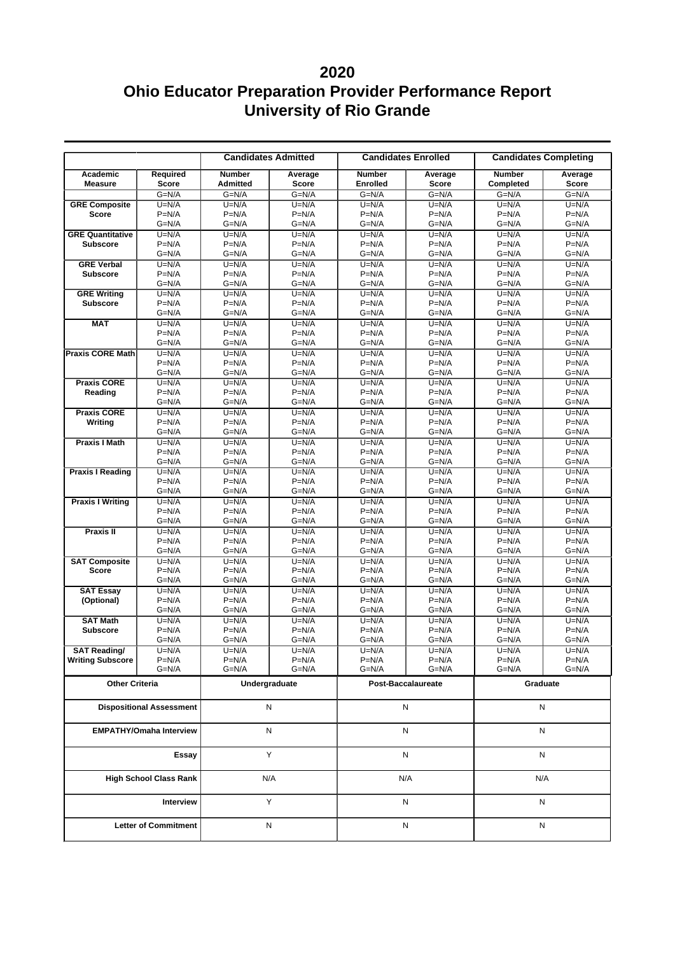|                                                |                                |                                  | <b>Candidates Admitted</b>     |                                  | <b>Candidates Enrolled</b> | <b>Candidates Completing</b> |                         |
|------------------------------------------------|--------------------------------|----------------------------------|--------------------------------|----------------------------------|----------------------------|------------------------------|-------------------------|
| Academic<br><b>Measure</b>                     | Required<br><b>Score</b>       | <b>Number</b><br><b>Admitted</b> | Average<br>Score               | <b>Number</b><br><b>Enrolled</b> | Average<br><b>Score</b>    | <b>Number</b><br>Completed   | Average<br><b>Score</b> |
|                                                | $G=N/A$                        | $G=N/A$                          | $G=N/A$                        | $G=N/A$                          | $G=N/A$                    | $G=N/A$                      | $G=N/A$                 |
| <b>GRE Composite</b>                           | $U=N/A$                        | $U=N/A$                          | $U=N/A$                        | $U=N/A$                          | $U=N/A$                    | $U=N/A$                      | $U=N/A$                 |
| <b>Score</b>                                   | $P=N/A$                        | $P=N/A$                          | $P=N/A$                        | $P=N/A$                          | $P=N/A$                    | $P=N/A$                      | $P=N/A$                 |
|                                                | $G=N/A$                        | $G=N/A$                          | $G=N/A$                        | $G=N/A$                          | $G=N/A$                    | $G=N/A$                      | $G=N/A$                 |
| <b>GRE Quantitative</b><br><b>Subscore</b>     | $U=N/A$<br>$P=N/A$             | $U=N/A$<br>$P=N/A$               | $U=N/A$<br>$P=N/A$             | $U=N/A$<br>$P=N/A$               | $U=N/A$<br>$P=N/A$         | $U=N/A$<br>$P=N/A$           | $U=N/A$<br>$P=N/A$      |
|                                                | $G=N/A$                        | $G=N/A$                          | $G=N/A$                        | $G=N/A$                          | $G=N/A$                    | $G=N/A$                      | $G=N/A$                 |
| <b>GRE Verbal</b>                              | $U=N/A$                        | $U=N/A$                          | $U=N/A$                        | $U=N/A$                          | $U=N/A$                    | $U=N/A$                      | $U=N/A$                 |
| <b>Subscore</b>                                | $P=N/A$                        | $P=N/A$                          | $P=N/A$                        | $P=N/A$                          | $P=N/A$                    | $P=N/A$                      | $P=N/A$                 |
|                                                | $G=N/A$                        | $G=N/A$                          | $G=N/A$                        | $G=N/A$                          | $G=N/A$                    | $G=N/A$                      | $G=N/A$                 |
| <b>GRE Writing</b>                             | $U=N/A$                        | $U=N/A$                          | $U=N/A$                        | $U=N/A$                          | $U=N/A$                    | $U=N/A$                      | $U=N/A$                 |
| <b>Subscore</b>                                | $P=N/A$                        | $P=N/A$                          | $P=N/A$                        | $P=N/A$                          | $P=N/A$                    | $P=N/A$                      | $P=N/A$                 |
|                                                | $G=N/A$                        | $G=N/A$                          | $G=N/A$                        | $G=N/A$                          | $G=N/A$                    | $G=N/A$                      | $G=N/A$                 |
| <b>MAT</b>                                     | $U=N/A$                        | $U=N/A$                          | $U=N/A$                        | $U=N/A$                          | $U=N/A$                    | $U=N/A$                      | $U=N/A$                 |
|                                                | $P=N/A$                        | $P=N/A$                          | $P=N/A$                        | $P=N/A$                          | $P=N/A$                    | $P=N/A$                      | $P=N/A$                 |
|                                                | $G=N/A$                        | $G=N/A$                          | $G=N/A$                        | $G=N/A$                          | $G=N/A$                    | $G=N/A$                      | $G=N/A$                 |
| <b>Praxis CORE Math</b>                        | $U=N/A$                        | $U=N/A$                          | $U=N/A$                        | $U=N/A$                          | $U=N/A$                    | $U=N/A$                      | $U=N/A$                 |
|                                                | $P=N/A$<br>$G=N/A$             | $P=N/A$<br>$G=N/A$               | $P=N/A$<br>$G=N/A$             | $P=N/A$<br>$G=N/A$               | $P=N/A$<br>$G=N/A$         | $P=N/A$<br>$G=N/A$           | $P=N/A$<br>$G=N/A$      |
| <b>Praxis CORE</b>                             |                                |                                  |                                |                                  |                            |                              |                         |
| Reading                                        | $U=N/A$<br>$P=N/A$             | $U=N/A$<br>$P=N/A$               | $U=N/A$<br>$P=N/A$             | $U=N/A$<br>$P=N/A$               | $U=N/A$<br>$P=N/A$         | $U=N/A$<br>$P=N/A$           | $U=N/A$<br>$P=N/A$      |
|                                                | $G=N/A$                        | $G=N/A$                          | $G=N/A$                        | $G=N/A$                          | $G=N/A$                    | $G=N/A$                      | $G=N/A$                 |
| <b>Praxis CORE</b>                             | $U=N/A$                        | $U=N/A$                          | $U=N/A$                        | $U=N/A$                          | $U=N/A$                    | $U=N/A$                      | $U=N/A$                 |
| Writing                                        | $P=N/A$                        | $P=N/A$                          | $P=N/A$                        | $P=N/A$                          | $P=N/A$                    | $P=N/A$                      | $P=N/A$                 |
|                                                | $G=N/A$                        | $G=N/A$                          | $G=N/A$                        | $G=N/A$                          | $G=N/A$                    | $G=N/A$                      | $G=N/A$                 |
| <b>Praxis I Math</b>                           | $U=N/A$                        | $U=N/A$                          | $U=N/A$                        | $U=N/A$                          | $U=N/A$                    | $U=N/A$                      | $U=N/A$                 |
|                                                | $P=N/A$                        | $P=N/A$                          | $P=N/A$                        | $P=N/A$                          | $P=N/A$                    | $P=N/A$                      | $P=N/A$                 |
|                                                | $G=N/A$                        | $G=N/A$                          | $G=N/A$                        | $G=N/A$                          | $G=N/A$                    | $G=N/A$                      | $G=N/A$                 |
| <b>Praxis I Reading</b>                        | $U=N/A$                        | $U=N/A$                          | $U=N/A$                        | $U=N/A$                          | $U=N/A$                    | $U=N/A$                      | $U=N/A$                 |
|                                                | $P=N/A$                        | $P=N/A$                          | $P=N/A$                        | $P=N/A$                          | $P=N/A$                    | $P=N/A$                      | $P=N/A$                 |
|                                                | $G=N/A$                        | $G=N/A$                          | $G=N/A$                        | $G=N/A$                          | $G=N/A$                    | $G=N/A$                      | $G=N/A$                 |
| <b>Praxis I Writing</b>                        | $U=N/A$                        | $U=N/A$                          | $U=N/A$                        | $U=N/A$                          | $U=N/A$                    | $U=N/A$                      | $U=N/A$                 |
|                                                | $P=N/A$<br>$G=N/A$             | $P=N/A$<br>G=N/A                 | $P=N/A$<br>$G=N/A$             | $P=N/A$<br>$G=N/A$               | $P=N/A$<br>G=N/A           | $P=N/A$<br>$G=N/A$           | $P=N/A$<br>$G=N/A$      |
| <b>Praxis II</b>                               | $U=N/A$                        | $U=N/A$                          | $U=N/A$                        | $U=N/A$                          | $U=N/A$                    | $U=N/A$                      | $U=N/A$                 |
|                                                | $P=N/A$                        | $P=N/A$                          | $P=N/A$                        | $P=N/A$                          | $P=N/A$                    | $P=N/A$                      | $P=N/A$                 |
|                                                | $G=N/A$                        | G=N/A                            | $G=N/A$                        | $G=N/A$                          | $G=N/A$                    | $G=N/A$                      | $G=N/A$                 |
| <b>SAT Composite</b>                           | $U=N/A$                        | $U=N/A$                          | $U=N/A$                        | $U=N/A$                          | $U=N/A$                    | $U=N/A$                      | $U=N/A$                 |
| <b>Score</b>                                   | $P=N/A$                        | $P=N/A$                          | $P=N/A$                        | $P=N/A$                          | $P=N/A$                    | $P=N/A$                      | $P=N/A$                 |
|                                                | $G=N/A$                        | $G=N/A$                          | $G=N/A$                        | $G=N/A$                          | $G=N/A$                    | $G=N/A$                      | $G=N/A$                 |
| <b>SAT Essay</b>                               | $U=N/A$                        | $U=N/A$                          | $U=N/A$                        | $U=N/A$                          | $U=N/A$                    | $U=N/A$                      | $U=N/A$                 |
| (Optional)                                     | $P=N/A$                        | $P=N/A$                          | $P=N/A$                        | $P=N/A$                          | $P=N/A$                    | $P=N/A$                      | $P=N/A$                 |
|                                                | $G=N/A$                        | $G=N/A$                          | $G=N/A$                        | $G=N/A$                          | $G=N/A$                    | $G=N/A$                      | $G=N/A$                 |
| <b>SAT Math</b>                                | $U=N/A$                        | $U=N/A$                          | $U=N/A$                        | $U=N/A$                          | $U=N/A$                    | $U=N/A$                      | $U=N/A$                 |
| <b>Subscore</b>                                | $P=N/A$                        | $P=N/A$                          | $P=N/A$                        | $P=N/A$                          | $P=N/A$                    | $P=N/A$                      | $P=N/A$                 |
|                                                | $G=N/A$                        | $G=N/A$                          | $G=N/A$                        | $G=N/A$                          | $G=N/A$                    | $G=N/A$                      | $G=N/A$                 |
| <b>SAT Reading/</b><br><b>Writing Subscore</b> | $\overline{U}$ =N/A<br>$P=N/A$ | $U=N/A$<br>$P=N/A$               | $\overline{U}$ =N/A<br>$P=N/A$ | $U=N/A$<br>$P=N/A$               | $U=N/A$<br>$P=N/A$         | $U=N/A$<br>$P=N/A$           | $U=N/A$<br>$P=N/A$      |
|                                                | $G=N/A$                        | G=N/A                            | $G=N/A$                        | $G=N/A$                          | $G=N/A$                    | $G=N/A$                      | $G=N/A$                 |
|                                                |                                |                                  |                                |                                  |                            |                              |                         |
| <b>Other Criteria</b>                          |                                |                                  | Undergraduate                  |                                  | Post-Baccalaureate         | Graduate                     |                         |
| <b>Dispositional Assessment</b>                |                                |                                  | N                              |                                  | N                          |                              | Ν                       |
| <b>EMPATHY/Omaha Interview</b>                 |                                |                                  | N                              |                                  | N                          | Ν                            |                         |
| Essay                                          |                                |                                  | Y                              |                                  | ${\sf N}$                  | N                            |                         |
|                                                | <b>High School Class Rank</b>  |                                  | N/A                            | N/A                              |                            | N/A                          |                         |
|                                                | Interview                      |                                  | Y                              |                                  | N                          | N                            |                         |
|                                                | <b>Letter of Commitment</b>    |                                  | ${\sf N}$                      |                                  | ${\sf N}$                  | N                            |                         |
|                                                |                                |                                  |                                |                                  |                            |                              |                         |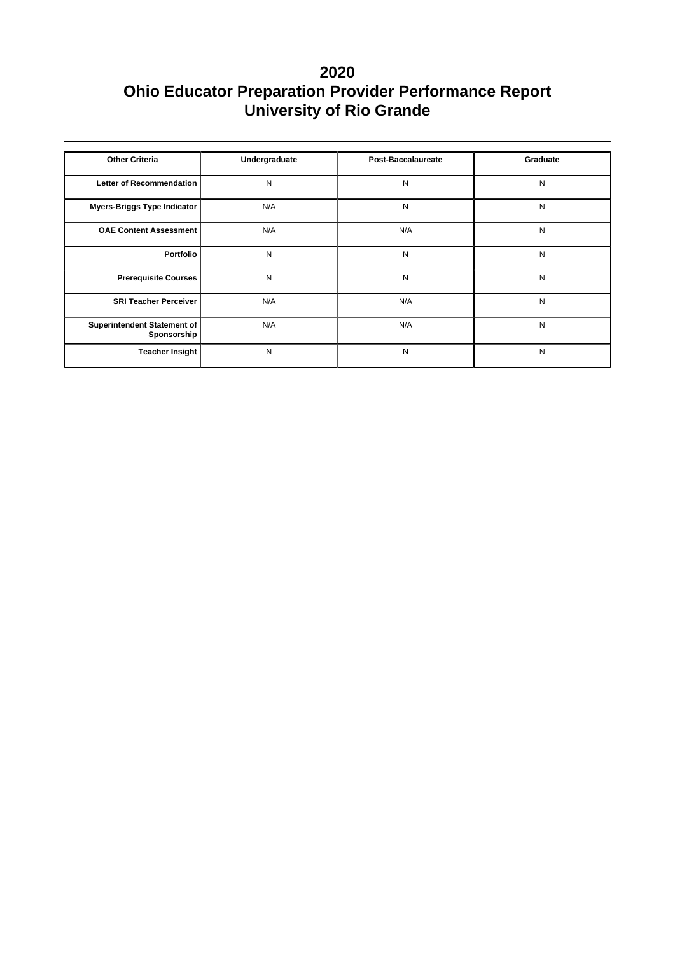| <b>Other Criteria</b>                      | Undergraduate | Post-Baccalaureate | Graduate |
|--------------------------------------------|---------------|--------------------|----------|
|                                            |               |                    |          |
| Letter of Recommendation                   | N             | N                  | N        |
| Myers-Briggs Type Indicator                | N/A           | N                  | N        |
| <b>OAE Content Assessment</b>              | N/A           | N/A                | N        |
| <b>Portfolio</b>                           | N             | N                  | N        |
| <b>Prerequisite Courses</b>                | N             | N                  | N        |
| <b>SRI Teacher Perceiver</b>               | N/A           | N/A                | N        |
| Superintendent Statement of<br>Sponsorship | N/A           | N/A                | N        |
| Teacher Insight                            | N             | N                  | N        |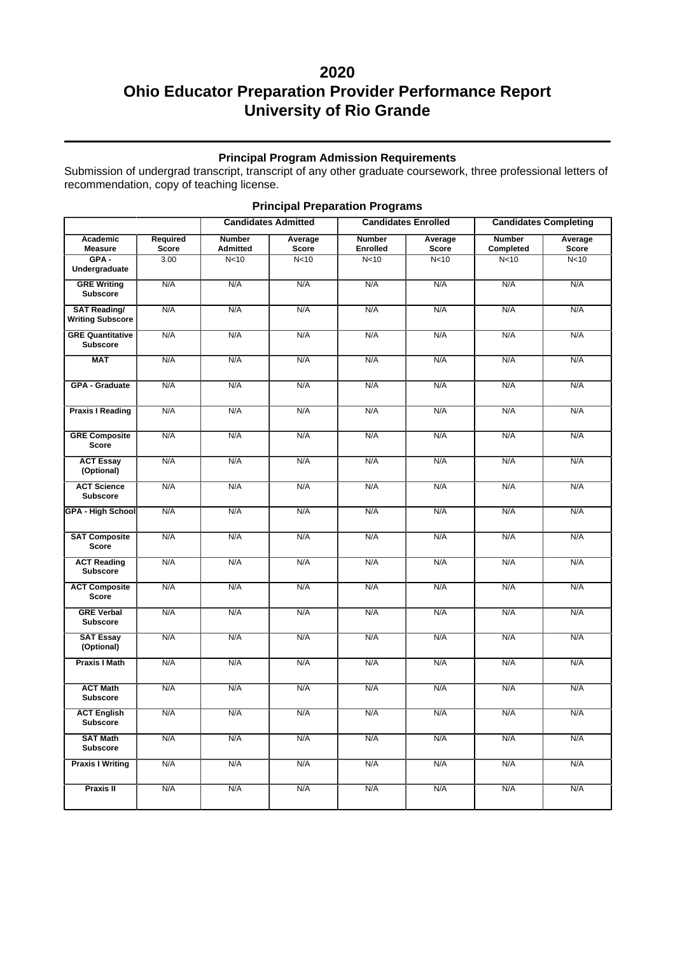### **Principal Program Admission Requirements**

Submission of undergrad transcript, transcript of any other graduate coursework, three professional letters of recommendation, copy of teaching license.

|                                                |                                 |                                  | <b>Candidates Admitted</b> | <b>Candidates Enrolled</b>       |                  | <b>Candidates Completing</b> |                  |
|------------------------------------------------|---------------------------------|----------------------------------|----------------------------|----------------------------------|------------------|------------------------------|------------------|
| Academic<br><b>Measure</b>                     | <b>Required</b><br><b>Score</b> | <b>Number</b><br><b>Admitted</b> | Average<br><b>Score</b>    | <b>Number</b><br><b>Enrolled</b> | Average<br>Score | <b>Number</b><br>Completed   | Average<br>Score |
| $GPA -$<br>Undergraduate                       | 3.00                            | N <sub>10</sub>                  | N <sub>10</sub>            | N <sub>10</sub>                  | N <sub>10</sub>  | N <sub>10</sub>              | N <sub>10</sub>  |
| <b>GRE Writing</b><br><b>Subscore</b>          | N/A                             | N/A                              | N/A                        | N/A                              | N/A              | N/A                          | N/A              |
| <b>SAT Reading/</b><br><b>Writing Subscore</b> | N/A                             | N/A                              | N/A                        | N/A                              | N/A              | N/A                          | N/A              |
| <b>GRE Quantitative</b><br><b>Subscore</b>     | N/A                             | N/A                              | N/A                        | N/A                              | N/A              | N/A                          | N/A              |
| <b>MAT</b>                                     | N/A                             | N/A                              | N/A                        | N/A                              | N/A              | N/A                          | N/A              |
| GPA - Graduate                                 | N/A                             | N/A                              | N/A                        | N/A                              | N/A              | N/A                          | N/A              |
| <b>Praxis I Reading</b>                        | N/A                             | N/A                              | N/A                        | N/A                              | N/A              | N/A                          | N/A              |
| <b>GRE Composite</b><br><b>Score</b>           | N/A                             | N/A                              | N/A                        | N/A                              | N/A              | N/A                          | N/A              |
| <b>ACT Essay</b><br>(Optional)                 | N/A                             | N/A                              | N/A                        | N/A                              | N/A              | N/A                          | N/A              |
| <b>ACT Science</b><br><b>Subscore</b>          | N/A                             | N/A                              | N/A                        | N/A                              | N/A              | N/A                          | N/A              |
| <b>GPA - High School</b>                       | N/A                             | N/A                              | N/A                        | N/A                              | N/A              | N/A                          | N/A              |
| <b>SAT Composite</b><br><b>Score</b>           | N/A                             | N/A                              | N/A                        | N/A                              | N/A              | N/A                          | N/A              |
| <b>ACT Reading</b><br><b>Subscore</b>          | N/A                             | N/A                              | N/A                        | N/A                              | N/A              | N/A                          | N/A              |
| <b>ACT Composite</b><br><b>Score</b>           | N/A                             | N/A                              | N/A                        | N/A                              | N/A              | N/A                          | N/A              |
| <b>GRE Verbal</b><br><b>Subscore</b>           | N/A                             | N/A                              | N/A                        | N/A                              | N/A              | N/A                          | N/A              |
| <b>SAT Essay</b><br>(Optional)                 | N/A                             | N/A                              | N/A                        | N/A                              | N/A              | N/A                          | N/A              |
| <b>Praxis I Math</b>                           | N/A                             | N/A                              | N/A                        | N/A                              | N/A              | N/A                          | N/A              |
| <b>ACT Math</b><br><b>Subscore</b>             | N/A                             | N/A                              | N/A                        | N/A                              | N/A              | N/A                          | N/A              |
| <b>ACT English</b><br><b>Subscore</b>          | N/A                             | N/A                              | N/A                        | N/A                              | N/A              | N/A                          | N/A              |
| <b>SAT Math</b><br><b>Subscore</b>             | N/A                             | N/A                              | N/A                        | N/A                              | N/A              | N/A                          | N/A              |
| <b>Praxis I Writing</b>                        | N/A                             | N/A                              | N/A                        | N/A                              | N/A              | N/A                          | N/A              |
| <b>Praxis II</b>                               | N/A                             | N/A                              | N/A                        | N/A                              | N/A              | N/A                          | N/A              |

### **Principal Preparation Programs**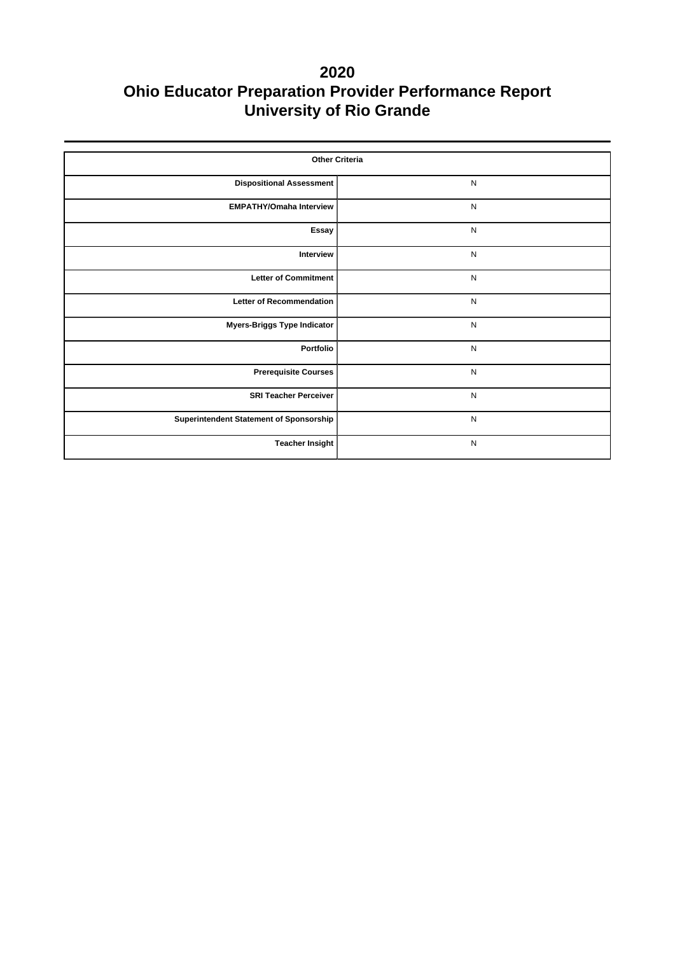| <b>Other Criteria</b>                   |              |  |  |  |  |  |
|-----------------------------------------|--------------|--|--|--|--|--|
| <b>Dispositional Assessment</b>         | ${\sf N}$    |  |  |  |  |  |
| <b>EMPATHY/Omaha Interview</b>          | $\mathsf{N}$ |  |  |  |  |  |
| Essay                                   | $\mathsf{N}$ |  |  |  |  |  |
| Interview                               | $\mathsf{N}$ |  |  |  |  |  |
| <b>Letter of Commitment</b>             | $\mathsf{N}$ |  |  |  |  |  |
| <b>Letter of Recommendation</b>         | $\mathsf{N}$ |  |  |  |  |  |
| <b>Myers-Briggs Type Indicator</b>      | $\mathsf{N}$ |  |  |  |  |  |
| Portfolio                               | $\mathsf{N}$ |  |  |  |  |  |
| <b>Prerequisite Courses</b>             | $\mathsf{N}$ |  |  |  |  |  |
| <b>SRI Teacher Perceiver</b>            | $\mathsf{N}$ |  |  |  |  |  |
| Superintendent Statement of Sponsorship | $\mathsf{N}$ |  |  |  |  |  |
| <b>Teacher Insight</b>                  | $\mathsf{N}$ |  |  |  |  |  |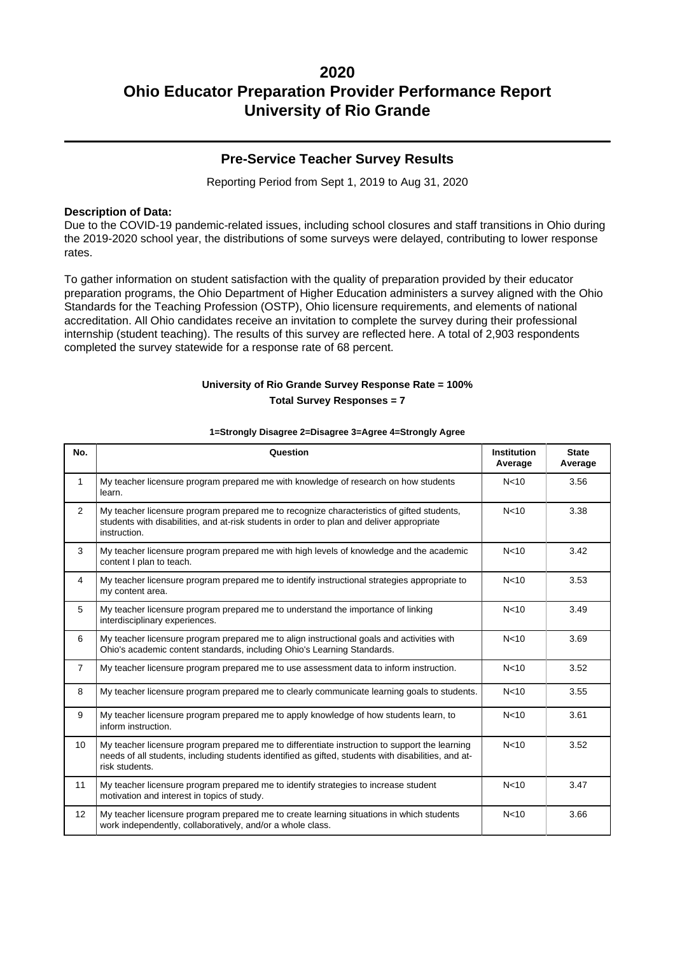### **Pre-Service Teacher Survey Results**

Reporting Period from Sept 1, 2019 to Aug 31, 2020

#### **Description of Data:**

Due to the COVID-19 pandemic-related issues, including school closures and staff transitions in Ohio during the 2019-2020 school year, the distributions of some surveys were delayed, contributing to lower response rates.

To gather information on student satisfaction with the quality of preparation provided by their educator preparation programs, the Ohio Department of Higher Education administers a survey aligned with the Ohio Standards for the Teaching Profession (OSTP), Ohio licensure requirements, and elements of national accreditation. All Ohio candidates receive an invitation to complete the survey during their professional internship (student teaching). The results of this survey are reflected here. A total of 2,903 respondents completed the survey statewide for a response rate of 68 percent.

### **University of Rio Grande Survey Response Rate = 100% Total Survey Responses = 7**

| No.              | Question                                                                                                                                                                                                               | <b>Institution</b><br>Average | <b>State</b><br>Average |
|------------------|------------------------------------------------------------------------------------------------------------------------------------------------------------------------------------------------------------------------|-------------------------------|-------------------------|
| $\mathbf{1}$     | My teacher licensure program prepared me with knowledge of research on how students<br>learn.                                                                                                                          | N <sub>10</sub>               | 3.56                    |
| 2                | My teacher licensure program prepared me to recognize characteristics of gifted students,<br>students with disabilities, and at-risk students in order to plan and deliver appropriate<br>instruction.                 | N <sub>10</sub>               | 3.38                    |
| 3                | My teacher licensure program prepared me with high levels of knowledge and the academic<br>content I plan to teach.                                                                                                    | N <sub>10</sub>               | 3.42                    |
| $\overline{4}$   | My teacher licensure program prepared me to identify instructional strategies appropriate to<br>my content area.                                                                                                       | N <sub>10</sub>               | 3.53                    |
| 5                | My teacher licensure program prepared me to understand the importance of linking<br>interdisciplinary experiences.                                                                                                     | N <sub>10</sub>               | 3.49                    |
| 6                | My teacher licensure program prepared me to align instructional goals and activities with<br>Ohio's academic content standards, including Ohio's Learning Standards.                                                   | N <sub>10</sub>               | 3.69                    |
| $\overline{7}$   | My teacher licensure program prepared me to use assessment data to inform instruction.                                                                                                                                 | N <sub>10</sub>               | 3.52                    |
| 8                | My teacher licensure program prepared me to clearly communicate learning goals to students.                                                                                                                            | N <sub>10</sub>               | 3.55                    |
| 9                | My teacher licensure program prepared me to apply knowledge of how students learn, to<br>inform instruction.                                                                                                           | N <sub>10</sub>               | 3.61                    |
| 10 <sup>10</sup> | My teacher licensure program prepared me to differentiate instruction to support the learning<br>needs of all students, including students identified as gifted, students with disabilities, and at-<br>risk students. | N <sub>10</sub>               | 3.52                    |
| 11               | My teacher licensure program prepared me to identify strategies to increase student<br>motivation and interest in topics of study.                                                                                     | N <sub>10</sub>               | 3.47                    |
| 12               | My teacher licensure program prepared me to create learning situations in which students<br>work independently, collaboratively, and/or a whole class.                                                                 | N <sub>10</sub>               | 3.66                    |

#### **1=Strongly Disagree 2=Disagree 3=Agree 4=Strongly Agree**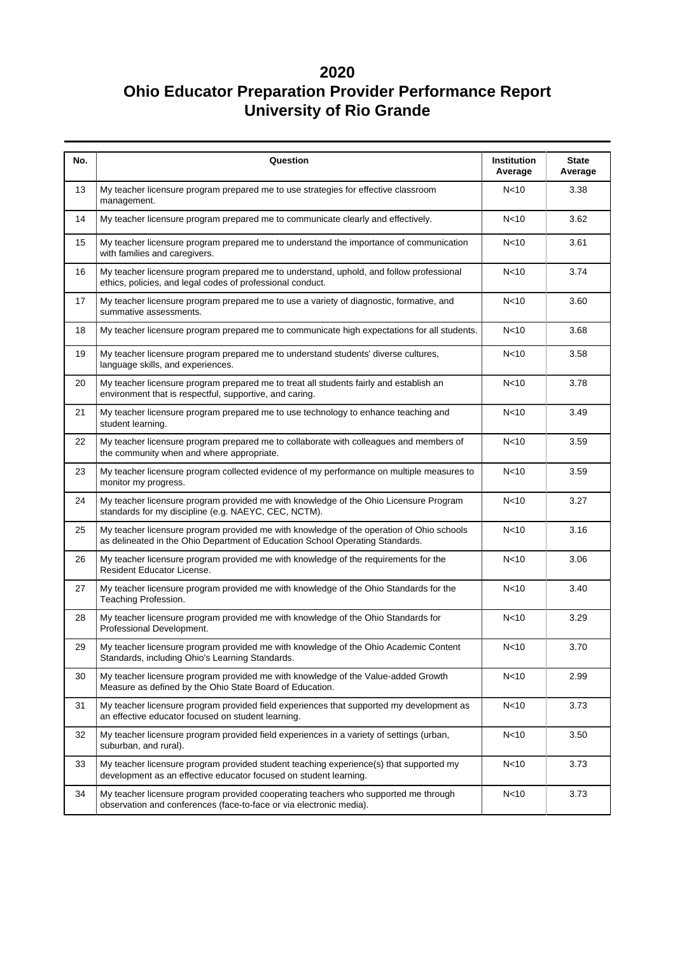| No. | Question                                                                                                                                                                  | Institution<br>Average | <b>State</b><br>Average |
|-----|---------------------------------------------------------------------------------------------------------------------------------------------------------------------------|------------------------|-------------------------|
| 13  | My teacher licensure program prepared me to use strategies for effective classroom<br>management.                                                                         | N <sub>10</sub>        | 3.38                    |
| 14  | My teacher licensure program prepared me to communicate clearly and effectively.                                                                                          | N <sub>10</sub>        | 3.62                    |
| 15  | My teacher licensure program prepared me to understand the importance of communication<br>with families and caregivers.                                                   | N <sub>10</sub>        | 3.61                    |
| 16  | My teacher licensure program prepared me to understand, uphold, and follow professional<br>ethics, policies, and legal codes of professional conduct.                     | N <sub>10</sub>        | 3.74                    |
| 17  | My teacher licensure program prepared me to use a variety of diagnostic, formative, and<br>summative assessments.                                                         | N <sub>10</sub>        | 3.60                    |
| 18  | My teacher licensure program prepared me to communicate high expectations for all students.                                                                               | N <sub>10</sub>        | 3.68                    |
| 19  | My teacher licensure program prepared me to understand students' diverse cultures,<br>language skills, and experiences.                                                   | N <sub>10</sub>        | 3.58                    |
| 20  | My teacher licensure program prepared me to treat all students fairly and establish an<br>environment that is respectful, supportive, and caring.                         | N <sub>10</sub>        | 3.78                    |
| 21  | My teacher licensure program prepared me to use technology to enhance teaching and<br>student learning.                                                                   | N <sub>10</sub>        | 3.49                    |
| 22  | My teacher licensure program prepared me to collaborate with colleagues and members of<br>the community when and where appropriate.                                       | N <sub>10</sub>        | 3.59                    |
| 23  | My teacher licensure program collected evidence of my performance on multiple measures to<br>monitor my progress.                                                         | N<10                   | 3.59                    |
| 24  | My teacher licensure program provided me with knowledge of the Ohio Licensure Program<br>standards for my discipline (e.g. NAEYC, CEC, NCTM).                             | N <sub>10</sub>        | 3.27                    |
| 25  | My teacher licensure program provided me with knowledge of the operation of Ohio schools<br>as delineated in the Ohio Department of Education School Operating Standards. | N <sub>10</sub>        | 3.16                    |
| 26  | My teacher licensure program provided me with knowledge of the requirements for the<br>Resident Educator License.                                                         | N <sub>10</sub>        | 3.06                    |
| 27  | My teacher licensure program provided me with knowledge of the Ohio Standards for the<br>Teaching Profession.                                                             | N <sub>10</sub>        | 3.40                    |
| 28  | My teacher licensure program provided me with knowledge of the Ohio Standards for<br>Professional Development.                                                            | N <sub>10</sub>        | 3.29                    |
| 29  | My teacher licensure program provided me with knowledge of the Ohio Academic Content<br>Standards, including Ohio's Learning Standards.                                   | N <sub>10</sub>        | 3.70                    |
| 30  | My teacher licensure program provided me with knowledge of the Value-added Growth<br>Measure as defined by the Ohio State Board of Education.                             | N<10                   | 2.99                    |
| 31  | My teacher licensure program provided field experiences that supported my development as<br>an effective educator focused on student learning.                            | N <sub>10</sub>        | 3.73                    |
| 32  | My teacher licensure program provided field experiences in a variety of settings (urban,<br>suburban, and rural).                                                         | N <sub>10</sub>        | 3.50                    |
| 33  | My teacher licensure program provided student teaching experience(s) that supported my<br>development as an effective educator focused on student learning.               | N <sub>10</sub>        | 3.73                    |
| 34  | My teacher licensure program provided cooperating teachers who supported me through<br>observation and conferences (face-to-face or via electronic media).                | N<10                   | 3.73                    |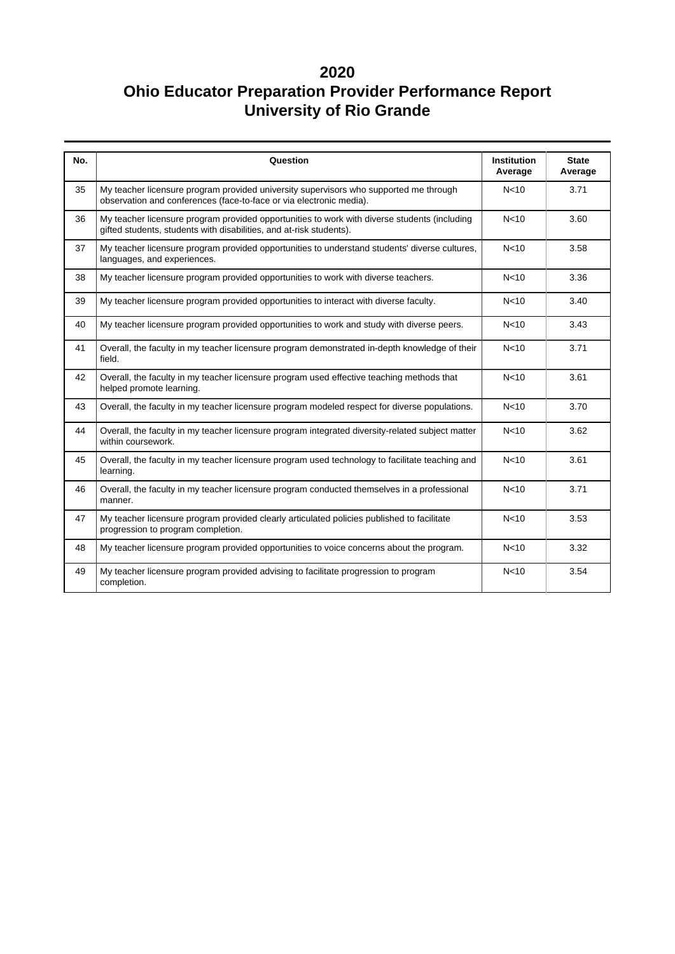| No. | Question                                                                                                                                                            | <b>Institution</b><br>Average | <b>State</b><br>Average |
|-----|---------------------------------------------------------------------------------------------------------------------------------------------------------------------|-------------------------------|-------------------------|
| 35  | My teacher licensure program provided university supervisors who supported me through<br>observation and conferences (face-to-face or via electronic media).        | N <sub>10</sub>               | 3.71                    |
| 36  | My teacher licensure program provided opportunities to work with diverse students (including<br>gifted students, students with disabilities, and at-risk students). | N <sub>10</sub>               | 3.60                    |
| 37  | My teacher licensure program provided opportunities to understand students' diverse cultures,<br>languages, and experiences.                                        | N <sub>10</sub>               | 3.58                    |
| 38  | My teacher licensure program provided opportunities to work with diverse teachers.                                                                                  | N <sub>10</sub>               | 3.36                    |
| 39  | My teacher licensure program provided opportunities to interact with diverse faculty.                                                                               | N <sub>10</sub>               | 3.40                    |
| 40  | My teacher licensure program provided opportunities to work and study with diverse peers.                                                                           | N <sub>10</sub>               | 3.43                    |
| 41  | Overall, the faculty in my teacher licensure program demonstrated in-depth knowledge of their<br>field.                                                             | N <sub>10</sub>               | 3.71                    |
| 42  | Overall, the faculty in my teacher licensure program used effective teaching methods that<br>helped promote learning.                                               | N <sub>10</sub>               | 3.61                    |
| 43  | Overall, the faculty in my teacher licensure program modeled respect for diverse populations.                                                                       | N <sub>10</sub>               | 3.70                    |
| 44  | Overall, the faculty in my teacher licensure program integrated diversity-related subject matter<br>within coursework.                                              | N <sub>10</sub>               | 3.62                    |
| 45  | Overall, the faculty in my teacher licensure program used technology to facilitate teaching and<br>learning.                                                        | N <sub>10</sub>               | 3.61                    |
| 46  | Overall, the faculty in my teacher licensure program conducted themselves in a professional<br>manner.                                                              | N <sub>10</sub>               | 3.71                    |
| 47  | My teacher licensure program provided clearly articulated policies published to facilitate<br>progression to program completion.                                    | N <sub>10</sub>               | 3.53                    |
| 48  | My teacher licensure program provided opportunities to voice concerns about the program.                                                                            | N <sub>10</sub>               | 3.32                    |
| 49  | My teacher licensure program provided advising to facilitate progression to program<br>completion.                                                                  | N <sub>10</sub>               | 3.54                    |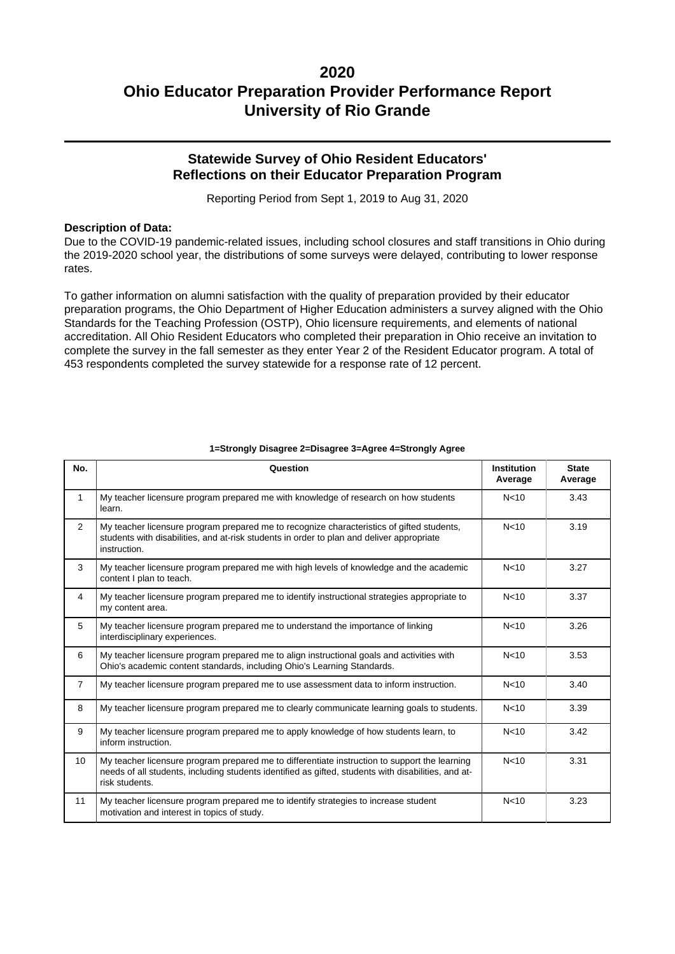### **Statewide Survey of Ohio Resident Educators' Reflections on their Educator Preparation Program**

Reporting Period from Sept 1, 2019 to Aug 31, 2020

#### **Description of Data:**

Due to the COVID-19 pandemic-related issues, including school closures and staff transitions in Ohio during the 2019-2020 school year, the distributions of some surveys were delayed, contributing to lower response rates.

To gather information on alumni satisfaction with the quality of preparation provided by their educator preparation programs, the Ohio Department of Higher Education administers a survey aligned with the Ohio Standards for the Teaching Profession (OSTP), Ohio licensure requirements, and elements of national accreditation. All Ohio Resident Educators who completed their preparation in Ohio receive an invitation to complete the survey in the fall semester as they enter Year 2 of the Resident Educator program. A total of 453 respondents completed the survey statewide for a response rate of 12 percent.

| No.             | Question                                                                                                                                                                                                               | <b>Institution</b><br>Average | <b>State</b><br>Average |
|-----------------|------------------------------------------------------------------------------------------------------------------------------------------------------------------------------------------------------------------------|-------------------------------|-------------------------|
| $\mathbf{1}$    | My teacher licensure program prepared me with knowledge of research on how students<br>learn.                                                                                                                          | N <sub>10</sub>               | 3.43                    |
| $\overline{2}$  | My teacher licensure program prepared me to recognize characteristics of gifted students,<br>students with disabilities, and at-risk students in order to plan and deliver appropriate<br>instruction.                 | N <sub>10</sub>               | 3.19                    |
| 3               | My teacher licensure program prepared me with high levels of knowledge and the academic<br>content I plan to teach.                                                                                                    | N<10                          | 3.27                    |
| $\overline{4}$  | My teacher licensure program prepared me to identify instructional strategies appropriate to<br>my content area.                                                                                                       | N <sub>10</sub>               | 3.37                    |
| 5               | My teacher licensure program prepared me to understand the importance of linking<br>interdisciplinary experiences.                                                                                                     | N <sub>10</sub>               | 3.26                    |
| 6               | My teacher licensure program prepared me to align instructional goals and activities with<br>Ohio's academic content standards, including Ohio's Learning Standards.                                                   | N <sub>10</sub>               | 3.53                    |
| $\overline{7}$  | My teacher licensure program prepared me to use assessment data to inform instruction.                                                                                                                                 | N <sub>10</sub>               | 3.40                    |
| 8               | My teacher licensure program prepared me to clearly communicate learning goals to students.                                                                                                                            | N <sub>10</sub>               | 3.39                    |
| 9               | My teacher licensure program prepared me to apply knowledge of how students learn, to<br>inform instruction.                                                                                                           | N <sub>10</sub>               | 3.42                    |
| 10 <sup>1</sup> | My teacher licensure program prepared me to differentiate instruction to support the learning<br>needs of all students, including students identified as gifted, students with disabilities, and at-<br>risk students. | N <sub>10</sub>               | 3.31                    |
| 11              | My teacher licensure program prepared me to identify strategies to increase student<br>motivation and interest in topics of study.                                                                                     | N <sub>10</sub>               | 3.23                    |

#### **1=Strongly Disagree 2=Disagree 3=Agree 4=Strongly Agree**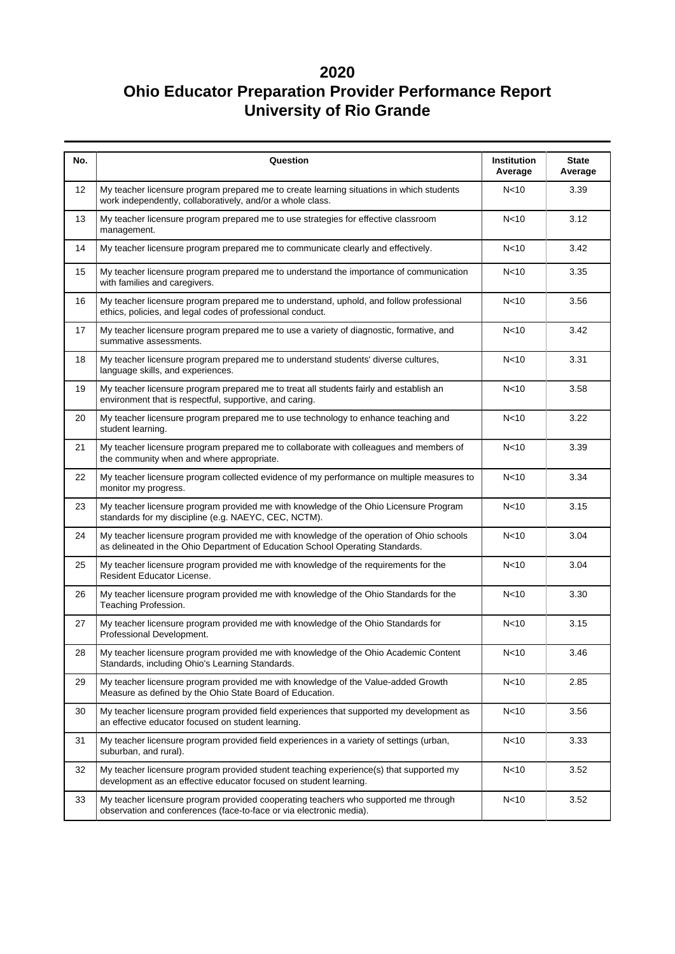| No. | Question                                                                                                                                                                  | Institution<br>Average | <b>State</b><br>Average |
|-----|---------------------------------------------------------------------------------------------------------------------------------------------------------------------------|------------------------|-------------------------|
| 12  | My teacher licensure program prepared me to create learning situations in which students<br>work independently, collaboratively, and/or a whole class.                    | N <sub>10</sub>        | 3.39                    |
| 13  | My teacher licensure program prepared me to use strategies for effective classroom<br>management.                                                                         | N<10                   | 3.12                    |
| 14  | My teacher licensure program prepared me to communicate clearly and effectively.                                                                                          | N <sub>10</sub>        | 3.42                    |
| 15  | My teacher licensure program prepared me to understand the importance of communication<br>with families and caregivers.                                                   | N <sub>10</sub>        | 3.35                    |
| 16  | My teacher licensure program prepared me to understand, uphold, and follow professional<br>ethics, policies, and legal codes of professional conduct.                     | N <sub>10</sub>        | 3.56                    |
| 17  | My teacher licensure program prepared me to use a variety of diagnostic, formative, and<br>summative assessments.                                                         | N <sub>10</sub>        | 3.42                    |
| 18  | My teacher licensure program prepared me to understand students' diverse cultures,<br>language skills, and experiences.                                                   | N <sub>10</sub>        | 3.31                    |
| 19  | My teacher licensure program prepared me to treat all students fairly and establish an<br>environment that is respectful, supportive, and caring.                         | N <sub>10</sub>        | 3.58                    |
| 20  | My teacher licensure program prepared me to use technology to enhance teaching and<br>student learning.                                                                   | N <sub>10</sub>        | 3.22                    |
| 21  | My teacher licensure program prepared me to collaborate with colleagues and members of<br>the community when and where appropriate.                                       | N <sub>10</sub>        | 3.39                    |
| 22  | My teacher licensure program collected evidence of my performance on multiple measures to<br>monitor my progress.                                                         | N <sub>10</sub>        | 3.34                    |
| 23  | My teacher licensure program provided me with knowledge of the Ohio Licensure Program<br>standards for my discipline (e.g. NAEYC, CEC, NCTM).                             | N <sub>10</sub>        | 3.15                    |
| 24  | My teacher licensure program provided me with knowledge of the operation of Ohio schools<br>as delineated in the Ohio Department of Education School Operating Standards. | N <sub>10</sub>        | 3.04                    |
| 25  | My teacher licensure program provided me with knowledge of the requirements for the<br>Resident Educator License.                                                         | N <sub>10</sub>        | 3.04                    |
| 26  | My teacher licensure program provided me with knowledge of the Ohio Standards for the<br>Teaching Profession.                                                             | N <sub>10</sub>        | 3.30                    |
| 27  | My teacher licensure program provided me with knowledge of the Ohio Standards for<br>Professional Development.                                                            | N <sub>10</sub>        | 3.15                    |
| 28  | My teacher licensure program provided me with knowledge of the Ohio Academic Content<br>Standards, including Ohio's Learning Standards.                                   | N <sub>10</sub>        | 3.46                    |
| 29  | My teacher licensure program provided me with knowledge of the Value-added Growth<br>Measure as defined by the Ohio State Board of Education.                             | N <sub>10</sub>        | 2.85                    |
| 30  | My teacher licensure program provided field experiences that supported my development as<br>an effective educator focused on student learning.                            | N <sub>10</sub>        | 3.56                    |
| 31  | My teacher licensure program provided field experiences in a variety of settings (urban,<br>suburban, and rural).                                                         | N <sub>10</sub>        | 3.33                    |
| 32  | My teacher licensure program provided student teaching experience(s) that supported my<br>development as an effective educator focused on student learning.               | N <sub>10</sub>        | 3.52                    |
| 33  | My teacher licensure program provided cooperating teachers who supported me through<br>observation and conferences (face-to-face or via electronic media).                | N <sub>10</sub>        | 3.52                    |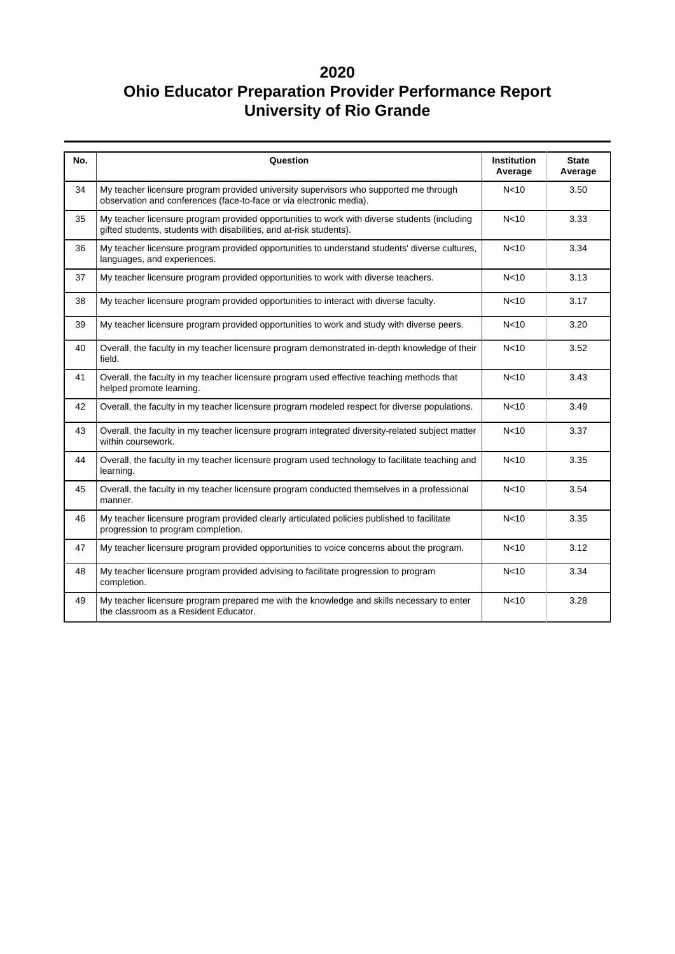| No. | Question                                                                                                                                                            | <b>Institution</b><br>Average | <b>State</b><br>Average |
|-----|---------------------------------------------------------------------------------------------------------------------------------------------------------------------|-------------------------------|-------------------------|
| 34  | My teacher licensure program provided university supervisors who supported me through<br>observation and conferences (face-to-face or via electronic media).        | N <sub>10</sub>               | 3.50                    |
| 35  | My teacher licensure program provided opportunities to work with diverse students (including<br>gifted students, students with disabilities, and at-risk students). | N <sub>10</sub>               | 3.33                    |
| 36  | My teacher licensure program provided opportunities to understand students' diverse cultures,<br>languages, and experiences.                                        | N <sub>10</sub>               | 3.34                    |
| 37  | My teacher licensure program provided opportunities to work with diverse teachers.                                                                                  | N <sub>10</sub>               | 3.13                    |
| 38  | My teacher licensure program provided opportunities to interact with diverse faculty.                                                                               | N <sub>10</sub>               | 3.17                    |
| 39  | My teacher licensure program provided opportunities to work and study with diverse peers.                                                                           | N <sub>10</sub>               | 3.20                    |
| 40  | Overall, the faculty in my teacher licensure program demonstrated in-depth knowledge of their<br>field.                                                             | N <sub>10</sub>               | 3.52                    |
| 41  | Overall, the faculty in my teacher licensure program used effective teaching methods that<br>helped promote learning.                                               | N<10                          | 3.43                    |
| 42  | Overall, the faculty in my teacher licensure program modeled respect for diverse populations.                                                                       | N <sub>10</sub>               | 3.49                    |
| 43  | Overall, the faculty in my teacher licensure program integrated diversity-related subject matter<br>within coursework.                                              | N <sub>10</sub>               | 3.37                    |
| 44  | Overall, the faculty in my teacher licensure program used technology to facilitate teaching and<br>learning.                                                        | N <sub>10</sub>               | 3.35                    |
| 45  | Overall, the faculty in my teacher licensure program conducted themselves in a professional<br>manner.                                                              | N <sub>10</sub>               | 3.54                    |
| 46  | My teacher licensure program provided clearly articulated policies published to facilitate<br>progression to program completion.                                    | N <sub>10</sub>               | 3.35                    |
| 47  | My teacher licensure program provided opportunities to voice concerns about the program.                                                                            | N <sub>10</sub>               | 3.12                    |
| 48  | My teacher licensure program provided advising to facilitate progression to program<br>completion.                                                                  | N <sub>10</sub>               | 3.34                    |
| 49  | My teacher licensure program prepared me with the knowledge and skills necessary to enter<br>the classroom as a Resident Educator.                                  | N <sub>10</sub>               | 3.28                    |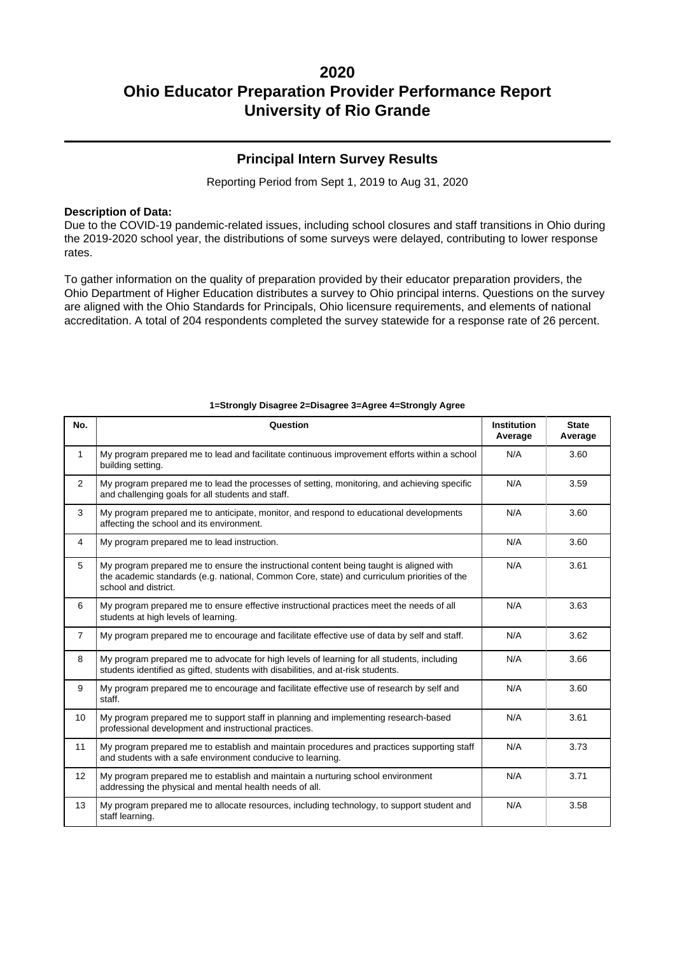### **Principal Intern Survey Results**

Reporting Period from Sept 1, 2019 to Aug 31, 2020

#### **Description of Data:**

Due to the COVID-19 pandemic-related issues, including school closures and staff transitions in Ohio during the 2019-2020 school year, the distributions of some surveys were delayed, contributing to lower response rates.

To gather information on the quality of preparation provided by their educator preparation providers, the Ohio Department of Higher Education distributes a survey to Ohio principal interns. Questions on the survey are aligned with the Ohio Standards for Principals, Ohio licensure requirements, and elements of national accreditation. A total of 204 respondents completed the survey statewide for a response rate of 26 percent.

| No.            | Question                                                                                                                                                                                                       | <b>Institution</b><br>Average | <b>State</b><br>Average |
|----------------|----------------------------------------------------------------------------------------------------------------------------------------------------------------------------------------------------------------|-------------------------------|-------------------------|
| 1              | My program prepared me to lead and facilitate continuous improvement efforts within a school<br>building setting.                                                                                              | N/A                           | 3.60                    |
| $\overline{2}$ | My program prepared me to lead the processes of setting, monitoring, and achieving specific<br>and challenging goals for all students and staff.                                                               | N/A                           | 3.59                    |
| 3              | My program prepared me to anticipate, monitor, and respond to educational developments<br>affecting the school and its environment.                                                                            | N/A                           | 3.60                    |
| 4              | My program prepared me to lead instruction.                                                                                                                                                                    | N/A                           | 3.60                    |
| 5              | My program prepared me to ensure the instructional content being taught is aligned with<br>the academic standards (e.g. national, Common Core, state) and curriculum priorities of the<br>school and district. | N/A                           | 3.61                    |
| 6              | My program prepared me to ensure effective instructional practices meet the needs of all<br>students at high levels of learning.                                                                               | N/A                           | 3.63                    |
| $\overline{7}$ | My program prepared me to encourage and facilitate effective use of data by self and staff.                                                                                                                    | N/A                           | 3.62                    |
| 8              | My program prepared me to advocate for high levels of learning for all students, including<br>students identified as gifted, students with disabilities, and at-risk students.                                 | N/A                           | 3.66                    |
| 9              | My program prepared me to encourage and facilitate effective use of research by self and<br>staff.                                                                                                             | N/A                           | 3.60                    |
| 10             | My program prepared me to support staff in planning and implementing research-based<br>professional development and instructional practices.                                                                   | N/A                           | 3.61                    |
| 11             | My program prepared me to establish and maintain procedures and practices supporting staff<br>and students with a safe environment conducive to learning.                                                      | N/A                           | 3.73                    |
| 12             | My program prepared me to establish and maintain a nurturing school environment<br>addressing the physical and mental health needs of all.                                                                     | N/A                           | 3.71                    |
| 13             | My program prepared me to allocate resources, including technology, to support student and<br>staff learning.                                                                                                  | N/A                           | 3.58                    |

#### **1=Strongly Disagree 2=Disagree 3=Agree 4=Strongly Agree**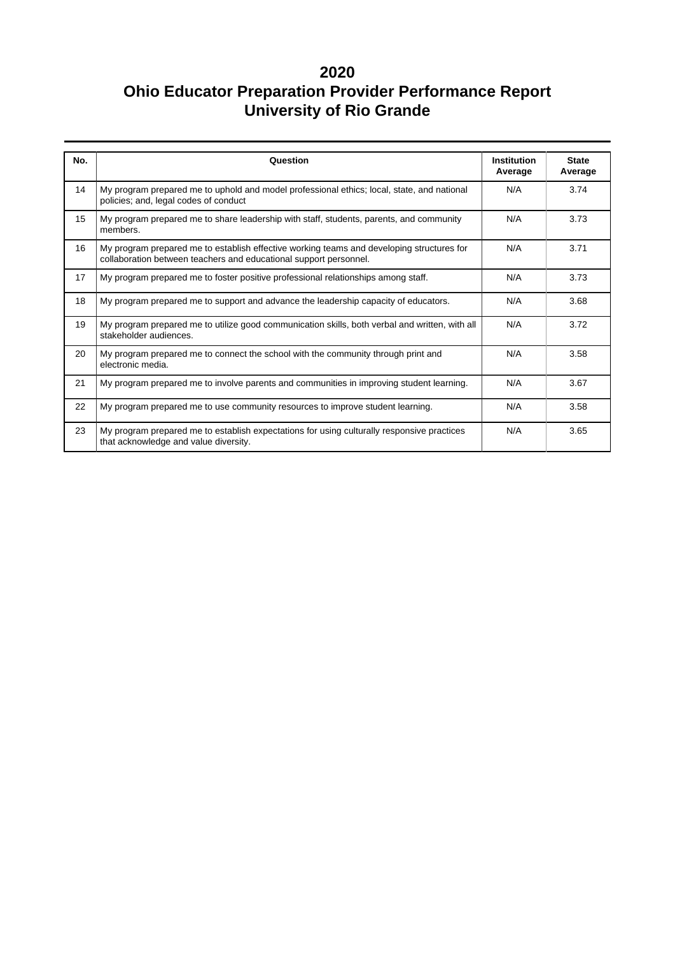| No. | Question                                                                                                                                                       | <b>Institution</b><br>Average | <b>State</b><br>Average |
|-----|----------------------------------------------------------------------------------------------------------------------------------------------------------------|-------------------------------|-------------------------|
| 14  | My program prepared me to uphold and model professional ethics; local, state, and national<br>policies; and, legal codes of conduct                            | N/A                           | 3.74                    |
| 15  | My program prepared me to share leadership with staff, students, parents, and community<br>members.                                                            | N/A                           | 3.73                    |
| 16  | My program prepared me to establish effective working teams and developing structures for<br>collaboration between teachers and educational support personnel. | N/A                           | 3.71                    |
| 17  | My program prepared me to foster positive professional relationships among staff.                                                                              | N/A                           | 3.73                    |
| 18  | My program prepared me to support and advance the leadership capacity of educators.                                                                            | N/A                           | 3.68                    |
| 19  | My program prepared me to utilize good communication skills, both verbal and written, with all<br>stakeholder audiences.                                       | N/A                           | 3.72                    |
| 20  | My program prepared me to connect the school with the community through print and<br>electronic media.                                                         | N/A                           | 3.58                    |
| 21  | My program prepared me to involve parents and communities in improving student learning.                                                                       | N/A                           | 3.67                    |
| 22  | My program prepared me to use community resources to improve student learning.                                                                                 | N/A                           | 3.58                    |
| 23  | My program prepared me to establish expectations for using culturally responsive practices<br>that acknowledge and value diversity.                            | N/A                           | 3.65                    |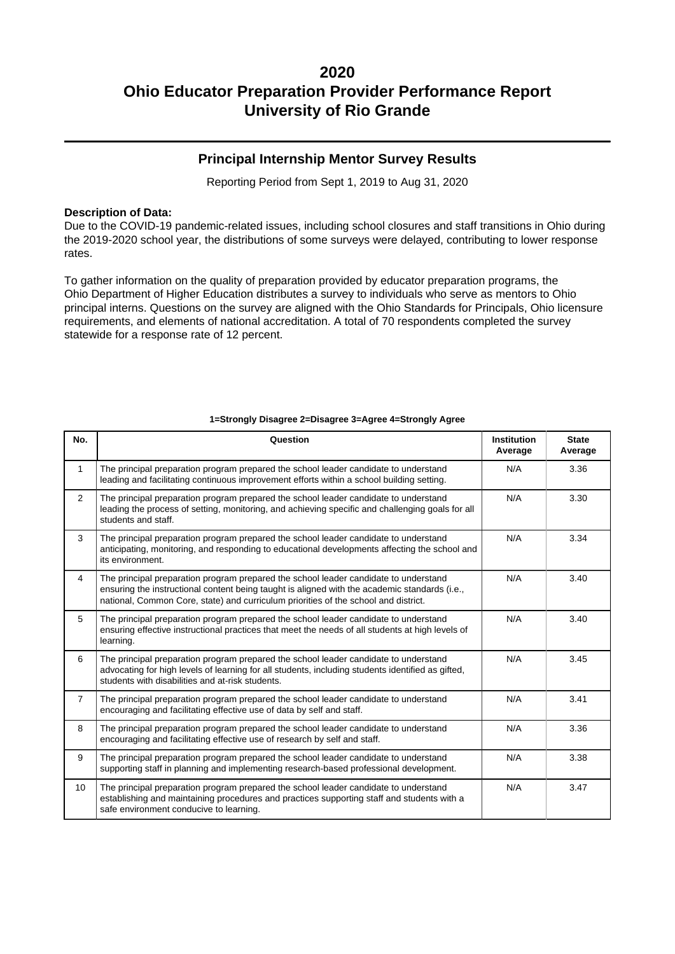### **Principal Internship Mentor Survey Results**

Reporting Period from Sept 1, 2019 to Aug 31, 2020

#### **Description of Data:**

Due to the COVID-19 pandemic-related issues, including school closures and staff transitions in Ohio during the 2019-2020 school year, the distributions of some surveys were delayed, contributing to lower response rates.

To gather information on the quality of preparation provided by educator preparation programs, the Ohio Department of Higher Education distributes a survey to individuals who serve as mentors to Ohio principal interns. Questions on the survey are aligned with the Ohio Standards for Principals, Ohio licensure requirements, and elements of national accreditation. A total of 70 respondents completed the survey statewide for a response rate of 12 percent.

| No.              | Question                                                                                                                                                                                                                                                                     | <b>Institution</b><br>Average | <b>State</b><br>Average |
|------------------|------------------------------------------------------------------------------------------------------------------------------------------------------------------------------------------------------------------------------------------------------------------------------|-------------------------------|-------------------------|
| $\mathbf{1}$     | The principal preparation program prepared the school leader candidate to understand<br>leading and facilitating continuous improvement efforts within a school building setting.                                                                                            | N/A                           | 3.36                    |
| $\overline{2}$   | The principal preparation program prepared the school leader candidate to understand<br>leading the process of setting, monitoring, and achieving specific and challenging goals for all<br>students and staff.                                                              | N/A                           | 3.30                    |
| 3                | The principal preparation program prepared the school leader candidate to understand<br>anticipating, monitoring, and responding to educational developments affecting the school and<br>its environment.                                                                    | N/A                           | 3.34                    |
| $\overline{4}$   | The principal preparation program prepared the school leader candidate to understand<br>ensuring the instructional content being taught is aligned with the academic standards (i.e.,<br>national, Common Core, state) and curriculum priorities of the school and district. | N/A                           | 3.40                    |
| 5                | The principal preparation program prepared the school leader candidate to understand<br>ensuring effective instructional practices that meet the needs of all students at high levels of<br>learning.                                                                        | N/A                           | 3.40                    |
| 6                | The principal preparation program prepared the school leader candidate to understand<br>advocating for high levels of learning for all students, including students identified as gifted,<br>students with disabilities and at-risk students.                                | N/A                           | 3.45                    |
| $\overline{7}$   | The principal preparation program prepared the school leader candidate to understand<br>encouraging and facilitating effective use of data by self and staff.                                                                                                                | N/A                           | 3.41                    |
| 8                | The principal preparation program prepared the school leader candidate to understand<br>encouraging and facilitating effective use of research by self and staff.                                                                                                            | N/A                           | 3.36                    |
| 9                | The principal preparation program prepared the school leader candidate to understand<br>supporting staff in planning and implementing research-based professional development.                                                                                               | N/A                           | 3.38                    |
| 10 <sup>10</sup> | The principal preparation program prepared the school leader candidate to understand<br>establishing and maintaining procedures and practices supporting staff and students with a<br>safe environment conducive to learning.                                                | N/A                           | 3.47                    |

#### **1=Strongly Disagree 2=Disagree 3=Agree 4=Strongly Agree**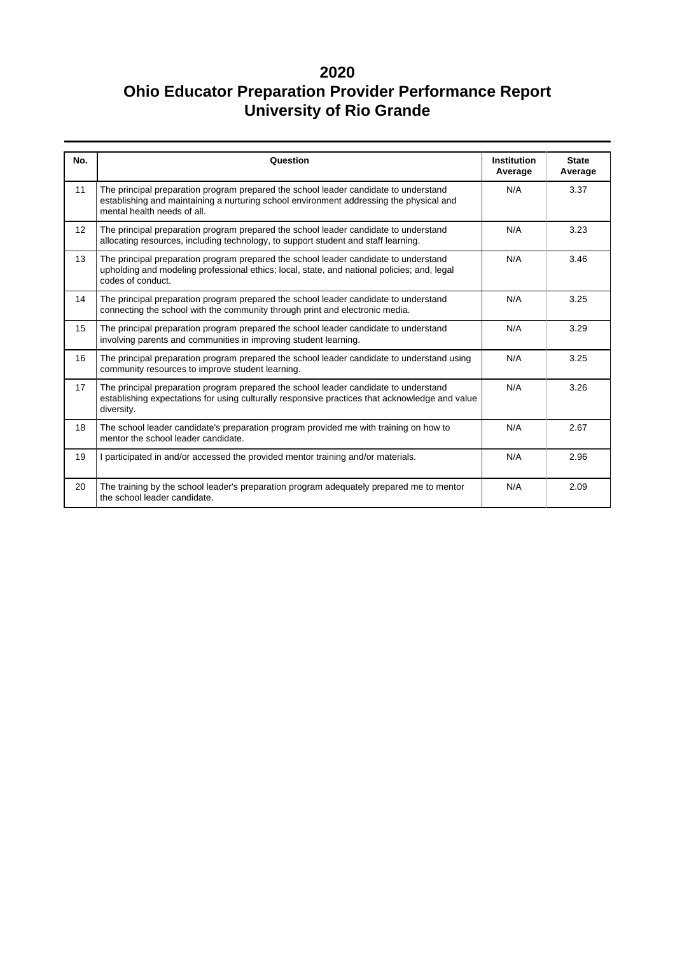| No.               | Question                                                                                                                                                                                                       | <b>Institution</b><br>Average | <b>State</b><br>Average |
|-------------------|----------------------------------------------------------------------------------------------------------------------------------------------------------------------------------------------------------------|-------------------------------|-------------------------|
| 11                | The principal preparation program prepared the school leader candidate to understand<br>establishing and maintaining a nurturing school environment addressing the physical and<br>mental health needs of all. | N/A                           | 3.37                    |
| $12 \overline{ }$ | The principal preparation program prepared the school leader candidate to understand<br>allocating resources, including technology, to support student and staff learning.                                     | N/A                           | 3.23                    |
| 13                | The principal preparation program prepared the school leader candidate to understand<br>upholding and modeling professional ethics; local, state, and national policies; and, legal<br>codes of conduct.       | N/A                           | 3.46                    |
| 14                | The principal preparation program prepared the school leader candidate to understand<br>connecting the school with the community through print and electronic media.                                           | N/A                           | 3.25                    |
| 15                | The principal preparation program prepared the school leader candidate to understand<br>involving parents and communities in improving student learning.                                                       | N/A                           | 3.29                    |
| 16                | The principal preparation program prepared the school leader candidate to understand using<br>community resources to improve student learning.                                                                 | N/A                           | 3.25                    |
| 17                | The principal preparation program prepared the school leader candidate to understand<br>establishing expectations for using culturally responsive practices that acknowledge and value<br>diversity.           | N/A                           | 3.26                    |
| 18                | The school leader candidate's preparation program provided me with training on how to<br>mentor the school leader candidate.                                                                                   | N/A                           | 2.67                    |
| 19                | I participated in and/or accessed the provided mentor training and/or materials.                                                                                                                               | N/A                           | 2.96                    |
| 20                | The training by the school leader's preparation program adequately prepared me to mentor<br>the school leader candidate.                                                                                       | N/A                           | 2.09                    |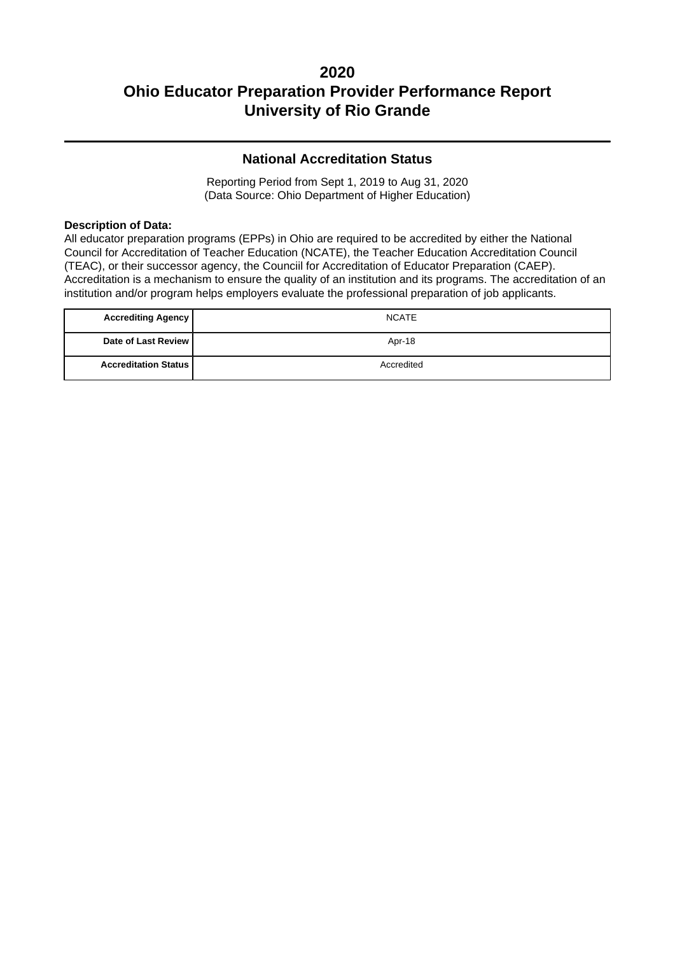### **National Accreditation Status**

Reporting Period from Sept 1, 2019 to Aug 31, 2020 (Data Source: Ohio Department of Higher Education)

#### **Description of Data:**

All educator preparation programs (EPPs) in Ohio are required to be accredited by either the National Council for Accreditation of Teacher Education (NCATE), the Teacher Education Accreditation Council (TEAC), or their successor agency, the Counciil for Accreditation of Educator Preparation (CAEP). Accreditation is a mechanism to ensure the quality of an institution and its programs. The accreditation of an institution and/or program helps employers evaluate the professional preparation of job applicants.

| <b>Accrediting Agency</b>     | <b>NCATE</b> |
|-------------------------------|--------------|
| Date of Last Review           | Apr-18       |
| <b>Accreditation Status  </b> | Accredited   |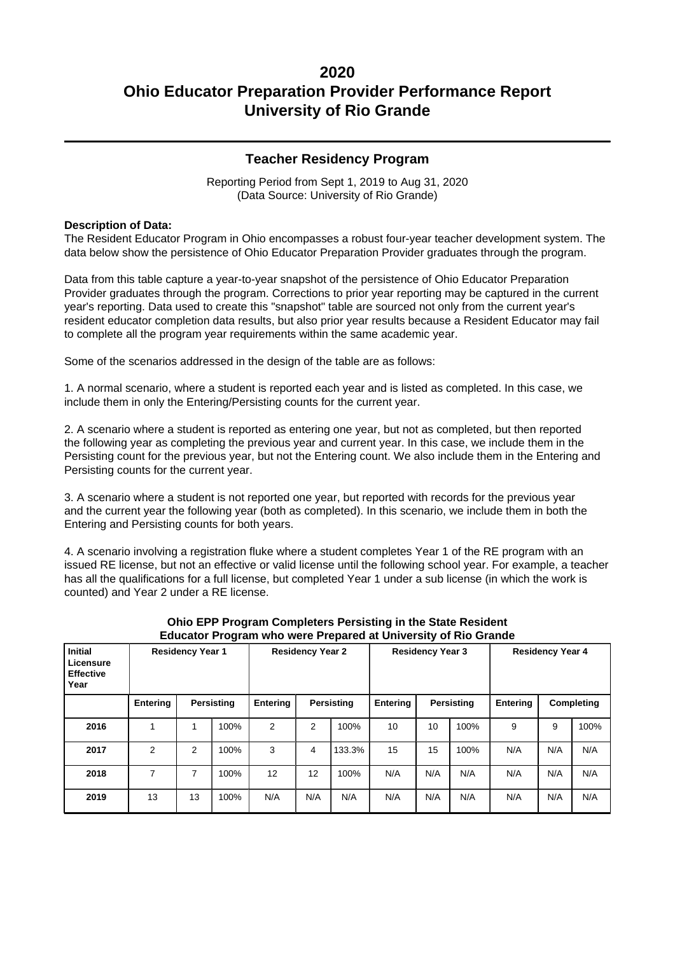### **Teacher Residency Program**

Reporting Period from Sept 1, 2019 to Aug 31, 2020 (Data Source: University of Rio Grande)

#### **Description of Data:**

The Resident Educator Program in Ohio encompasses a robust four-year teacher development system. The data below show the persistence of Ohio Educator Preparation Provider graduates through the program.

Data from this table capture a year-to-year snapshot of the persistence of Ohio Educator Preparation Provider graduates through the program. Corrections to prior year reporting may be captured in the current year's reporting. Data used to create this "snapshot" table are sourced not only from the current year's resident educator completion data results, but also prior year results because a Resident Educator may fail to complete all the program year requirements within the same academic year.

Some of the scenarios addressed in the design of the table are as follows:

1. A normal scenario, where a student is reported each year and is listed as completed. In this case, we include them in only the Entering/Persisting counts for the current year.

2. A scenario where a student is reported as entering one year, but not as completed, but then reported the following year as completing the previous year and current year. In this case, we include them in the Persisting count for the previous year, but not the Entering count. We also include them in the Entering and Persisting counts for the current year.

3. A scenario where a student is not reported one year, but reported with records for the previous year and the current year the following year (both as completed). In this scenario, we include them in both the Entering and Persisting counts for both years.

4. A scenario involving a registration fluke where a student completes Year 1 of the RE program with an issued RE license, but not an effective or valid license until the following school year. For example, a teacher has all the qualifications for a full license, but completed Year 1 under a sub license (in which the work is counted) and Year 2 under a RE license.

| <b>Initial</b><br>Licensure<br><b>Effective</b><br>Year | <b>Residency Year 1</b> |    |            |                 | <b>Residency Year 2</b> |        |          | <b>Residency Year 3</b> |      |          | <b>Residency Year 4</b> |      |
|---------------------------------------------------------|-------------------------|----|------------|-----------------|-------------------------|--------|----------|-------------------------|------|----------|-------------------------|------|
|                                                         | Entering                |    | Persisting | <b>Entering</b> | Persisting              |        | Entering | <b>Persisting</b>       |      | Entering | Completing              |      |
| 2016                                                    |                         |    | 100%       | $\overline{2}$  | 2                       | 100%   | 10       | 10                      | 100% | 9        | 9                       | 100% |
| 2017                                                    | $\overline{2}$          | 2  | 100%       | 3               | 4                       | 133.3% | 15       | 15                      | 100% | N/A      | N/A                     | N/A  |
| 2018                                                    | 7                       | 7  | 100%       | 12              | 12                      | 100%   | N/A      | N/A                     | N/A  | N/A      | N/A                     | N/A  |
| 2019                                                    | 13                      | 13 | 100%       | N/A             | N/A                     | N/A    | N/A      | N/A                     | N/A  | N/A      | N/A                     | N/A  |

#### **Ohio EPP Program Completers Persisting in the State Resident Educator Program who were Prepared at University of Rio Grande**